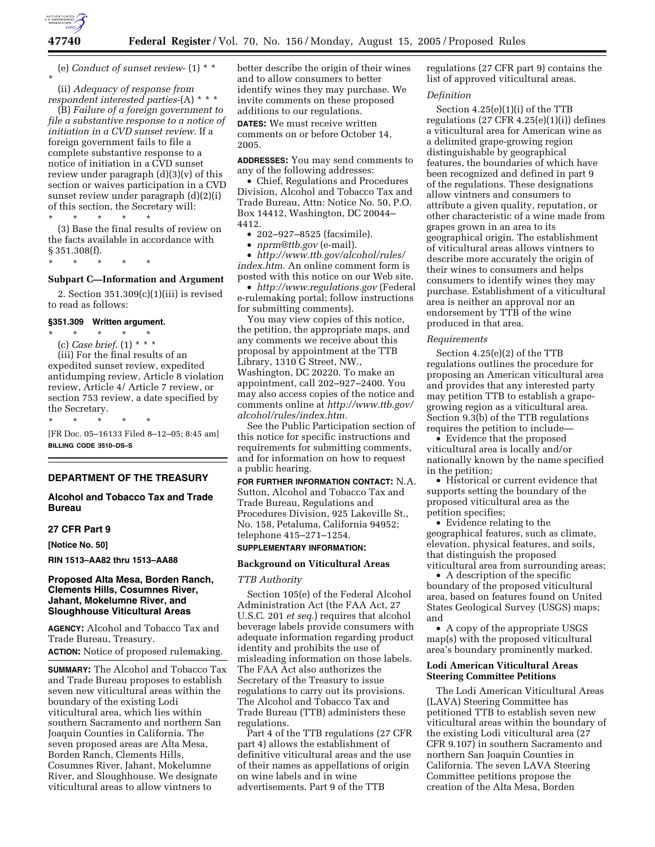

(e) *Conduct of sunset review*- (1) \* \* \*

(ii) *Adequacy of response from respondent interested parties*-(A) \* \* \* (B) *Failure of a foreign government to* 

*file a substantive response to a notice of initiation in a CVD sunset review*. If a foreign government fails to file a complete substantive response to a notice of initiation in a CVD sunset review under paragraph (d)(3)(v) of this section or waives participation in a CVD sunset review under paragraph (d)(2)(i) of this section, the Secretary will:

\* \* \* \* \*

(3) Base the final results of review on the facts available in accordance with § 351.308(f).

\* \* \* \* \*

# **Subpart C—Information and Argument**

2. Section 351.309(c)(1)(iii) is revised to read as follows:

## **§351.309 Written argument.**

\* \* \* \* \* (c) *Case brief*. (1) \* \* \* (iii) For the final results of an expedited sunset review, expedited antidumping review, Article 8 violation review, Article 4/ Article 7 review, or section 753 review, a date specified by the Secretary.

\* \* \* \* \* [FR Doc. 05–16133 Filed 8–12–05; 8:45 am] **BILLING CODE 3510–DS–S**

# **DEPARTMENT OF THE TREASURY**

# **Alcohol and Tobacco Tax and Trade Bureau**

# **27 CFR Part 9**

**[Notice No. 50]** 

**RIN 1513–AA82 thru 1513–AA88** 

# **Proposed Alta Mesa, Borden Ranch, Clements Hills, Cosumnes River, Jahant, Mokelumne River, and Sloughhouse Viticultural Areas**

**AGENCY:** Alcohol and Tobacco Tax and Trade Bureau, Treasury. **ACTION:** Notice of proposed rulemaking.

**SUMMARY:** The Alcohol and Tobacco Tax and Trade Bureau proposes to establish seven new viticultural areas within the boundary of the existing Lodi viticultural area, which lies within southern Sacramento and northern San Joaquin Counties in California. The seven proposed areas are Alta Mesa, Borden Ranch, Clements Hills, Cosumnes River, Jahant, Mokelumne River, and Sloughhouse. We designate viticultural areas to allow vintners to

better describe the origin of their wines and to allow consumers to better identify wines they may purchase. We invite comments on these proposed additions to our regulations.

**DATES:** We must receive written comments on or before October 14, 2005.

**ADDRESSES:** You may send comments to any of the following addresses:

• Chief, Regulations and Procedures Division, Alcohol and Tobacco Tax and Trade Bureau, Attn: Notice No. 50, P.O. Box 14412, Washington, DC 20044– 4412.

• 202–927–8525 (facsimile).

• *nprm@ttb.gov* (e-mail).

• *http://www.ttb.gov/alcohol/rules/ index.htm.* An online comment form is posted with this notice on our Web site.

• *http://www.regulations.gov* (Federal e-rulemaking portal; follow instructions for submitting comments).

You may view copies of this notice, the petition, the appropriate maps, and any comments we receive about this proposal by appointment at the TTB Library, 1310 G Street, NW., Washington, DC 20220. To make an appointment, call 202–927–2400. You may also access copies of the notice and comments online at *http://www.ttb.gov/ alcohol/rules/index.htm.*

See the Public Participation section of this notice for specific instructions and requirements for submitting comments, and for information on how to request a public hearing.

**FOR FURTHER INFORMATION CONTACT:** N.A. Sutton, Alcohol and Tobacco Tax and Trade Bureau, Regulations and Procedures Division, 925 Lakeville St., No. 158, Petaluma, California 94952; telephone 415–271–1254.

# **SUPPLEMENTARY INFORMATION:**

# **Background on Viticultural Areas**

# *TTB Authority*

Section 105(e) of the Federal Alcohol Administration Act (the FAA Act, 27 U.S.C. 201 *et seq.*) requires that alcohol beverage labels provide consumers with adequate information regarding product identity and prohibits the use of misleading information on those labels. The FAA Act also authorizes the Secretary of the Treasury to issue regulations to carry out its provisions. The Alcohol and Tobacco Tax and Trade Bureau (TTB) administers these regulations.

Part 4 of the TTB regulations (27 CFR part 4) allows the establishment of definitive viticultural areas and the use of their names as appellations of origin on wine labels and in wine advertisements. Part 9 of the TTB

regulations (27 CFR part 9) contains the list of approved viticultural areas.

# *Definition*

Section 4.25(e)(1)(i) of the TTB regulations  $(27 \text{ CFR } 4.25(e)(1)(i))$  defines a viticultural area for American wine as a delimited grape-growing region distinguishable by geographical features, the boundaries of which have been recognized and defined in part 9 of the regulations. These designations allow vintners and consumers to attribute a given quality, reputation, or other characteristic of a wine made from grapes grown in an area to its geographical origin. The establishment of viticultural areas allows vintners to describe more accurately the origin of their wines to consumers and helps consumers to identify wines they may purchase. Establishment of a viticultural area is neither an approval nor an endorsement by TTB of the wine produced in that area.

# *Requirements*

Section 4.25(e)(2) of the TTB regulations outlines the procedure for proposing an American viticultural area and provides that any interested party may petition TTB to establish a grapegrowing region as a viticultural area. Section 9.3(b) of the TTB regulations requires the petition to include—

• Evidence that the proposed viticultural area is locally and/or nationally known by the name specified in the petition;

• Historical or current evidence that supports setting the boundary of the proposed viticultural area as the petition specifies;

• Evidence relating to the geographical features, such as climate, elevation, physical features, and soils, that distinguish the proposed viticultural area from surrounding areas;

• A description of the specific boundary of the proposed viticultural area, based on features found on United States Geological Survey (USGS) maps; and

• A copy of the appropriate USGS map(s) with the proposed viticultural area's boundary prominently marked.

# **Lodi American Viticultural Areas Steering Committee Petitions**

The Lodi American Viticultural Areas (LAVA) Steering Committee has petitioned TTB to establish seven new viticultural areas within the boundary of the existing Lodi viticultural area (27 CFR 9.107) in southern Sacramento and northern San Joaquin Counties in California. The seven LAVA Steering Committee petitions propose the creation of the Alta Mesa, Borden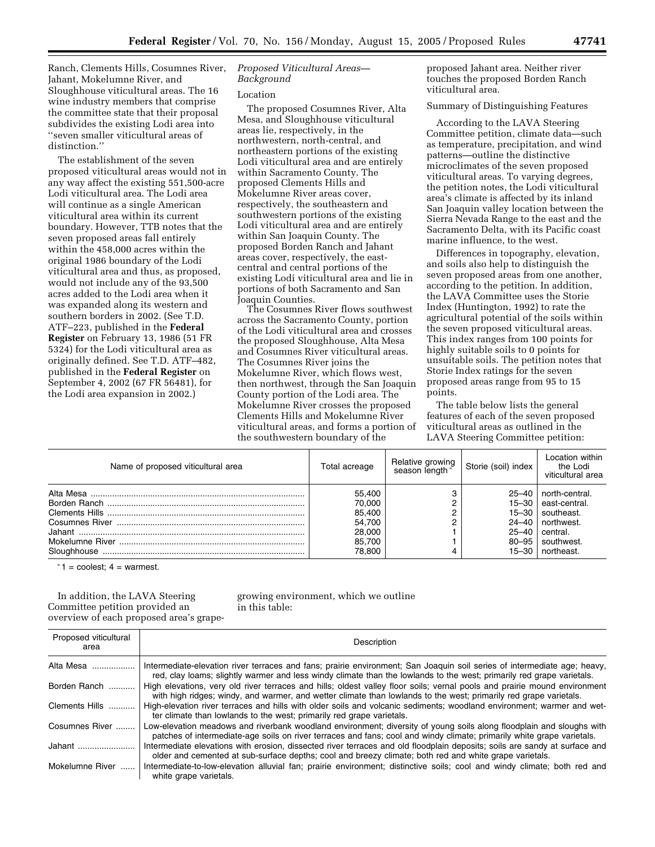Ranch, Clements Hills, Cosumnes River, Jahant, Mokelumne River, and Sloughhouse viticultural areas. The 16 wine industry members that comprise the committee state that their proposal subdivides the existing Lodi area into ''seven smaller viticultural areas of distinction.''

The establishment of the seven proposed viticultural areas would not in any way affect the existing 551,500-acre Lodi viticultural area. The Lodi area will continue as a single American viticultural area within its current boundary. However, TTB notes that the seven proposed areas fall entirely within the 458,000 acres within the original 1986 boundary of the Lodi viticultural area and thus, as proposed, would not include any of the 93,500 acres added to the Lodi area when it was expanded along its western and southern borders in 2002. (See T.D. ATF–223, published in the **Federal Register** on February 13, 1986 (51 FR 5324) for the Lodi viticultural area as originally defined. See T.D. ATF–482, published in the **Federal Register** on September 4, 2002 (67 FR 56481), for the Lodi area expansion in 2002.)

# *Proposed Viticultural Areas— Background*

## Location

The proposed Cosumnes River, Alta Mesa, and Sloughhouse viticultural areas lie, respectively, in the northwestern, north-central, and northeastern portions of the existing Lodi viticultural area and are entirely within Sacramento County. The proposed Clements Hills and Mokelumne River areas cover, respectively, the southeastern and southwestern portions of the existing Lodi viticultural area and are entirely within San Joaquin County. The proposed Borden Ranch and Jahant areas cover, respectively, the eastcentral and central portions of the existing Lodi viticultural area and lie in portions of both Sacramento and San Joaquin Counties.

The Cosumnes River flows southwest across the Sacramento County, portion of the Lodi viticultural area and crosses the proposed Sloughhouse, Alta Mesa and Cosumnes River viticultural areas. The Cosumnes River joins the Mokelumne River, which flows west, then northwest, through the San Joaquin County portion of the Lodi area. The Mokelumne River crosses the proposed Clements Hills and Mokelumne River viticultural areas, and forms a portion of the southwestern boundary of the

proposed Jahant area. Neither river touches the proposed Borden Ranch viticultural area.

Summary of Distinguishing Features

According to the LAVA Steering Committee petition, climate data—such as temperature, precipitation, and wind patterns—outline the distinctive microclimates of the seven proposed viticultural areas. To varying degrees, the petition notes, the Lodi viticultural area's climate is affected by its inland San Joaquin valley location between the Sierra Nevada Range to the east and the Sacramento Delta, with its Pacific coast marine influence, to the west.

Differences in topography, elevation, and soils also help to distinguish the seven proposed areas from one another, according to the petition. In addition, the LAVA Committee uses the Storie Index (Huntington, 1992) to rate the agricultural potential of the soils within the seven proposed viticultural areas. This index ranges from 100 points for highly suitable soils to 0 points for unsuitable soils. The petition notes that Storie Index ratings for the seven proposed areas range from 95 to 15 points.

The table below lists the general features of each of the seven proposed viticultural areas as outlined in the LAVA Steering Committee petition:

| Name of proposed viticultural area | Total acreage                                                      | Relative growing<br>*season length | Storie (soil) index                                                    | Location within<br>the Lodi<br>viticultural area                                                            |
|------------------------------------|--------------------------------------------------------------------|------------------------------------|------------------------------------------------------------------------|-------------------------------------------------------------------------------------------------------------|
|                                    | 55.400<br>70.000<br>85,400<br>54.700<br>28,000<br>85.700<br>78.800 |                                    | $25 - 40$<br>$15 - 30$<br>$15 - 30$<br>25–40<br>$80 - 95$<br>$15 - 30$ | north-central.<br>east-central.<br>southeast.<br>$24-40$ northwest.<br>central.<br>southwest.<br>northeast. |

*\** 1 = coolest; 4 = warmest.

In addition, the LAVA Steering Committee petition provided an overview of each proposed area's grapegrowing environment, which we outline in this table:

| Proposed viticultural<br>area | Description                                                                                                                                                                                                                                       |
|-------------------------------|---------------------------------------------------------------------------------------------------------------------------------------------------------------------------------------------------------------------------------------------------|
| Alta Mesa                     | Intermediate-elevation river terraces and fans; prairie environment; San Joaquin soil series of intermediate age; heavy,<br>red, clay loams; slightly warmer and less windy climate than the lowlands to the west; primarily red grape varietals. |
| Borden Ranch                  | High elevations, very old river terraces and hills; oldest valley floor soils; vernal pools and prairie mound environment<br>with high ridges; windy, and warmer, and wetter climate than lowlands to the west; primarily red grape varietals.    |
| Clements Hills                | High-elevation river terraces and hills with older soils and volcanic sediments; woodland environment; warmer and wet-<br>ter climate than lowlands to the west; primarily red grape varietals.                                                   |
| Cosumnes River                | Low-elevation meadows and riverbank woodland environment; diversity of young soils along floodplain and sloughs with<br>patches of intermediate-age soils on river terraces and fans; cool and windy climate; primarily white grape varietals.    |
| Jahant                        | Intermediate elevations with erosion, dissected river terraces and old floodplain deposits; soils are sandy at surface and<br>older and cemented at sub-surface depths; cool and breezy climate; both red and white grape varietals.              |
| Mokelumne River               | Intermediate-to-low-elevation alluvial fan; prairie environment; distinctive soils; cool and windy climate; both red and<br>white grape varietals.                                                                                                |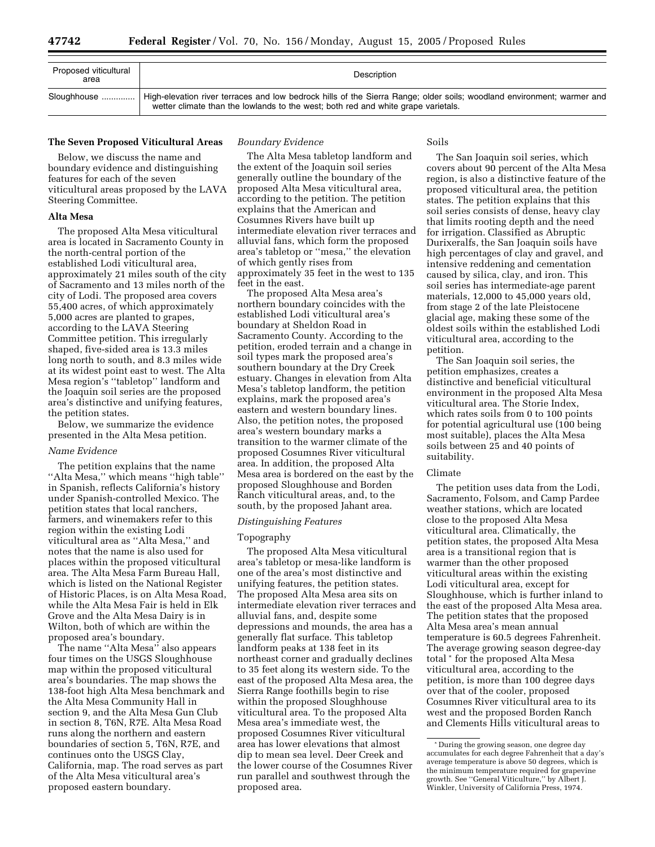| Proposed viticultural<br>area | Description                                                                                                                                                                                                 |
|-------------------------------|-------------------------------------------------------------------------------------------------------------------------------------------------------------------------------------------------------------|
| Sloughhouse                   | High-elevation river terraces and low bedrock hills of the Sierra Range; older soils; woodland environment; warmer and<br>wetter climate than the lowlands to the west; both red and white grape varietals. |

## **The Seven Proposed Viticultural Areas**

Below, we discuss the name and boundary evidence and distinguishing features for each of the seven viticultural areas proposed by the LAVA Steering Committee.

# **Alta Mesa**

The proposed Alta Mesa viticultural area is located in Sacramento County in the north-central portion of the established Lodi viticultural area, approximately 21 miles south of the city of Sacramento and 13 miles north of the city of Lodi. The proposed area covers 55,400 acres, of which approximately 5,000 acres are planted to grapes, according to the LAVA Steering Committee petition. This irregularly shaped, five-sided area is 13.3 miles long north to south, and 8.3 miles wide at its widest point east to west. The Alta Mesa region's ''tabletop'' landform and the Joaquin soil series are the proposed area's distinctive and unifying features, the petition states.

Below, we summarize the evidence presented in the Alta Mesa petition.

# *Name Evidence*

The petition explains that the name ''Alta Mesa,'' which means ''high table'' in Spanish, reflects California's history under Spanish-controlled Mexico. The petition states that local ranchers, farmers, and winemakers refer to this region within the existing Lodi viticultural area as ''Alta Mesa,'' and notes that the name is also used for places within the proposed viticultural area. The Alta Mesa Farm Bureau Hall, which is listed on the National Register of Historic Places, is on Alta Mesa Road, while the Alta Mesa Fair is held in Elk Grove and the Alta Mesa Dairy is in Wilton, both of which are within the proposed area's boundary.

The name ''Alta Mesa'' also appears four times on the USGS Sloughhouse map within the proposed viticultural area's boundaries. The map shows the 138-foot high Alta Mesa benchmark and the Alta Mesa Community Hall in section 9, and the Alta Mesa Gun Club in section 8, T6N, R7E. Alta Mesa Road runs along the northern and eastern boundaries of section 5, T6N, R7E, and continues onto the USGS Clay, California, map. The road serves as part of the Alta Mesa viticultural area's proposed eastern boundary.

#### *Boundary Evidence*

The Alta Mesa tabletop landform and the extent of the Joaquin soil series generally outline the boundary of the proposed Alta Mesa viticultural area, according to the petition. The petition explains that the American and Cosumnes Rivers have built up intermediate elevation river terraces and alluvial fans, which form the proposed area's tabletop or ''mesa,'' the elevation of which gently rises from approximately 35 feet in the west to 135 feet in the east.

The proposed Alta Mesa area's northern boundary coincides with the established Lodi viticultural area's boundary at Sheldon Road in Sacramento County. According to the petition, eroded terrain and a change in soil types mark the proposed area's southern boundary at the Dry Creek estuary. Changes in elevation from Alta Mesa's tabletop landform, the petition explains, mark the proposed area's eastern and western boundary lines. Also, the petition notes, the proposed area's western boundary marks a transition to the warmer climate of the proposed Cosumnes River viticultural area. In addition, the proposed Alta Mesa area is bordered on the east by the proposed Sloughhouse and Borden Ranch viticultural areas, and, to the south, by the proposed Jahant area.

# *Distinguishing Features*

#### Topography

The proposed Alta Mesa viticultural area's tabletop or mesa-like landform is one of the area's most distinctive and unifying features, the petition states. The proposed Alta Mesa area sits on intermediate elevation river terraces and alluvial fans, and, despite some depressions and mounds, the area has a generally flat surface. This tabletop landform peaks at 138 feet in its northeast corner and gradually declines to 35 feet along its western side. To the east of the proposed Alta Mesa area, the Sierra Range foothills begin to rise within the proposed Sloughhouse viticultural area. To the proposed Alta Mesa area's immediate west, the proposed Cosumnes River viticultural area has lower elevations that almost dip to mean sea level. Deer Creek and the lower course of the Cosumnes River run parallel and southwest through the proposed area.

# Soils

The San Joaquin soil series, which covers about 90 percent of the Alta Mesa region, is also a distinctive feature of the proposed viticultural area, the petition states. The petition explains that this soil series consists of dense, heavy clay that limits rooting depth and the need for irrigation. Classified as Abruptic Durixeralfs, the San Joaquin soils have high percentages of clay and gravel, and intensive reddening and cementation caused by silica, clay, and iron. This soil series has intermediate-age parent materials, 12,000 to 45,000 years old, from stage 2 of the late Pleistocene glacial age, making these some of the oldest soils within the established Lodi viticultural area, according to the petition.

The San Joaquin soil series, the petition emphasizes, creates a distinctive and beneficial viticultural environment in the proposed Alta Mesa viticultural area. The Storie Index, which rates soils from 0 to 100 points for potential agricultural use (100 being most suitable), places the Alta Mesa soils between 25 and 40 points of suitability.

#### Climate

The petition uses data from the Lodi, Sacramento, Folsom, and Camp Pardee weather stations, which are located close to the proposed Alta Mesa viticultural area. Climatically, the petition states, the proposed Alta Mesa area is a transitional region that is warmer than the other proposed viticultural areas within the existing Lodi viticultural area, except for Sloughhouse, which is further inland to the east of the proposed Alta Mesa area. The petition states that the proposed Alta Mesa area's mean annual temperature is 60.5 degrees Fahrenheit. The average growing season degree-day total \* for the proposed Alta Mesa viticultural area, according to the petition, is more than 100 degree days over that of the cooler, proposed Cosumnes River viticultural area to its west and the proposed Borden Ranch and Clements Hills viticultural areas to

<sup>\*</sup> During the growing season, one degree day accumulates for each degree Fahrenheit that a day's average temperature is above 50 degrees, which is the minimum temperature required for grapevine growth. See ''General Viticulture,'' by Albert J. Winkler, University of California Press, 1974.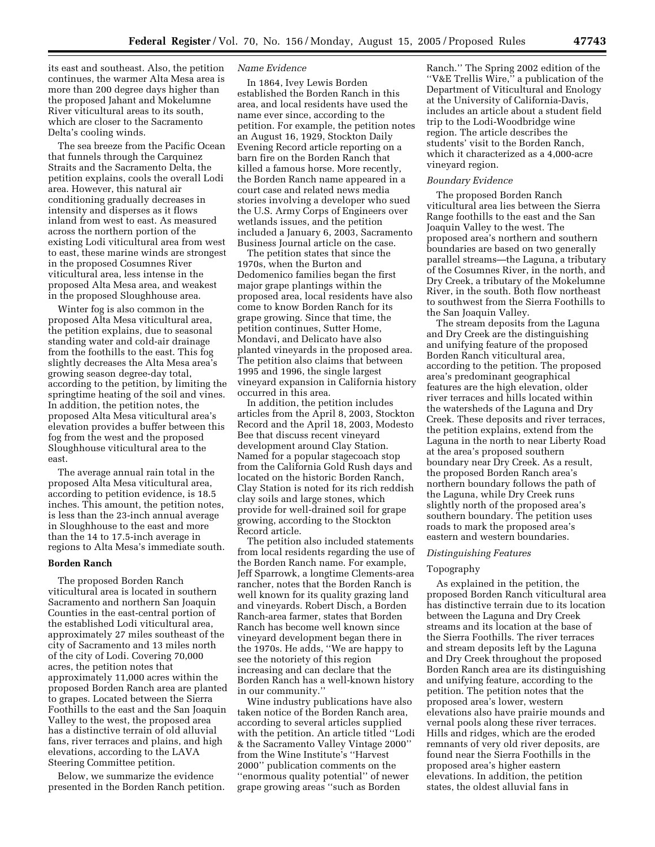its east and southeast. Also, the petition continues, the warmer Alta Mesa area is more than 200 degree days higher than the proposed Jahant and Mokelumne River viticultural areas to its south, which are closer to the Sacramento Delta's cooling winds.

The sea breeze from the Pacific Ocean that funnels through the Carquinez Straits and the Sacramento Delta, the petition explains, cools the overall Lodi area. However, this natural air conditioning gradually decreases in intensity and disperses as it flows inland from west to east. As measured across the northern portion of the existing Lodi viticultural area from west to east, these marine winds are strongest in the proposed Cosumnes River viticultural area, less intense in the proposed Alta Mesa area, and weakest in the proposed Sloughhouse area.

Winter fog is also common in the proposed Alta Mesa viticultural area, the petition explains, due to seasonal standing water and cold-air drainage from the foothills to the east. This fog slightly decreases the Alta Mesa area's growing season degree-day total, according to the petition, by limiting the springtime heating of the soil and vines. In addition, the petition notes, the proposed Alta Mesa viticultural area's elevation provides a buffer between this fog from the west and the proposed Sloughhouse viticultural area to the east.

The average annual rain total in the proposed Alta Mesa viticultural area, according to petition evidence, is 18.5 inches. This amount, the petition notes, is less than the 23-inch annual average in Sloughhouse to the east and more than the 14 to 17.5-inch average in regions to Alta Mesa's immediate south.

## **Borden Ranch**

The proposed Borden Ranch viticultural area is located in southern Sacramento and northern San Joaquin Counties in the east-central portion of the established Lodi viticultural area, approximately 27 miles southeast of the city of Sacramento and 13 miles north of the city of Lodi. Covering 70,000 acres, the petition notes that approximately 11,000 acres within the proposed Borden Ranch area are planted to grapes. Located between the Sierra Foothills to the east and the San Joaquin Valley to the west, the proposed area has a distinctive terrain of old alluvial fans, river terraces and plains, and high elevations, according to the LAVA Steering Committee petition.

Below, we summarize the evidence presented in the Borden Ranch petition.

# *Name Evidence*

In 1864, Ivey Lewis Borden established the Borden Ranch in this area, and local residents have used the name ever since, according to the petition. For example, the petition notes an August 16, 1929, Stockton Daily Evening Record article reporting on a barn fire on the Borden Ranch that killed a famous horse. More recently, the Borden Ranch name appeared in a court case and related news media stories involving a developer who sued the U.S. Army Corps of Engineers over wetlands issues, and the petition included a January 6, 2003, Sacramento Business Journal article on the case.

The petition states that since the 1970s, when the Burton and Dedomenico families began the first major grape plantings within the proposed area, local residents have also come to know Borden Ranch for its grape growing. Since that time, the petition continues, Sutter Home, Mondavi, and Delicato have also planted vineyards in the proposed area. The petition also claims that between 1995 and 1996, the single largest vineyard expansion in California history occurred in this area.

In addition, the petition includes articles from the April 8, 2003, Stockton Record and the April 18, 2003, Modesto Bee that discuss recent vineyard development around Clay Station. Named for a popular stagecoach stop from the California Gold Rush days and located on the historic Borden Ranch, Clay Station is noted for its rich reddish clay soils and large stones, which provide for well-drained soil for grape growing, according to the Stockton Record article.

The petition also included statements from local residents regarding the use of the Borden Ranch name. For example, Jeff Sparrowk, a longtime Clements-area rancher, notes that the Borden Ranch is well known for its quality grazing land and vineyards. Robert Disch, a Borden Ranch-area farmer, states that Borden Ranch has become well known since vineyard development began there in the 1970s. He adds, ''We are happy to see the notoriety of this region increasing and can declare that the Borden Ranch has a well-known history in our community.''

Wine industry publications have also taken notice of the Borden Ranch area, according to several articles supplied with the petition. An article titled ''Lodi & the Sacramento Valley Vintage 2000'' from the Wine Institute's ''Harvest 2000'' publication comments on the ''enormous quality potential'' of newer grape growing areas ''such as Borden

Ranch.'' The Spring 2002 edition of the ''V&E Trellis Wire,'' a publication of the Department of Viticultural and Enology at the University of California-Davis, includes an article about a student field trip to the Lodi-Woodbridge wine region. The article describes the students' visit to the Borden Ranch, which it characterized as a 4,000-acre vineyard region.

# *Boundary Evidence*

The proposed Borden Ranch viticultural area lies between the Sierra Range foothills to the east and the San Joaquin Valley to the west. The proposed area's northern and southern boundaries are based on two generally parallel streams—the Laguna, a tributary of the Cosumnes River, in the north, and Dry Creek, a tributary of the Mokelumne River, in the south. Both flow northeast to southwest from the Sierra Foothills to the San Joaquin Valley.

The stream deposits from the Laguna and Dry Creek are the distinguishing and unifying feature of the proposed Borden Ranch viticultural area, according to the petition. The proposed area's predominant geographical features are the high elevation, older river terraces and hills located within the watersheds of the Laguna and Dry Creek. These deposits and river terraces, the petition explains, extend from the Laguna in the north to near Liberty Road at the area's proposed southern boundary near Dry Creek. As a result, the proposed Borden Ranch area's northern boundary follows the path of the Laguna, while Dry Creek runs slightly north of the proposed area's southern boundary. The petition uses roads to mark the proposed area's eastern and western boundaries.

# *Distinguishing Features*

# Topography

As explained in the petition, the proposed Borden Ranch viticultural area has distinctive terrain due to its location between the Laguna and Dry Creek streams and its location at the base of the Sierra Foothills. The river terraces and stream deposits left by the Laguna and Dry Creek throughout the proposed Borden Ranch area are its distinguishing and unifying feature, according to the petition. The petition notes that the proposed area's lower, western elevations also have prairie mounds and vernal pools along these river terraces. Hills and ridges, which are the eroded remnants of very old river deposits, are found near the Sierra Foothills in the proposed area's higher eastern elevations. In addition, the petition states, the oldest alluvial fans in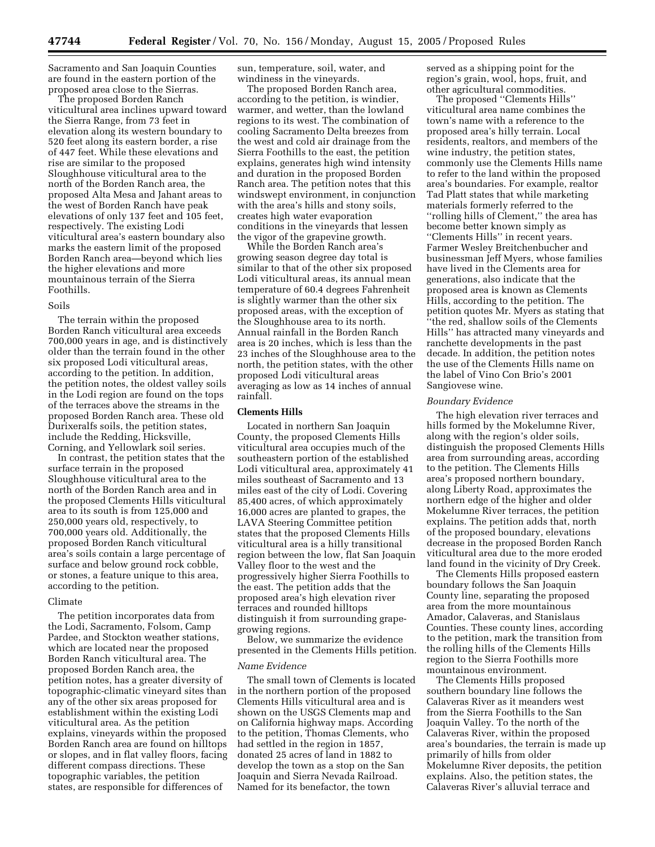Sacramento and San Joaquin Counties are found in the eastern portion of the proposed area close to the Sierras.

The proposed Borden Ranch viticultural area inclines upward toward the Sierra Range, from 73 feet in elevation along its western boundary to 520 feet along its eastern border, a rise of 447 feet. While these elevations and rise are similar to the proposed Sloughhouse viticultural area to the north of the Borden Ranch area, the proposed Alta Mesa and Jahant areas to the west of Borden Ranch have peak elevations of only 137 feet and 105 feet, respectively. The existing Lodi viticultural area's eastern boundary also marks the eastern limit of the proposed Borden Ranch area—beyond which lies the higher elevations and more mountainous terrain of the Sierra Foothills.

## Soils

The terrain within the proposed Borden Ranch viticultural area exceeds 700,000 years in age, and is distinctively older than the terrain found in the other six proposed Lodi viticultural areas, according to the petition. In addition, the petition notes, the oldest valley soils in the Lodi region are found on the tops of the terraces above the streams in the proposed Borden Ranch area. These old Durixeralfs soils, the petition states, include the Redding, Hicksville, Corning, and Yellowlark soil series.

In contrast, the petition states that the surface terrain in the proposed Sloughhouse viticultural area to the north of the Borden Ranch area and in the proposed Clements Hills viticultural area to its south is from 125,000 and 250,000 years old, respectively, to 700,000 years old. Additionally, the proposed Borden Ranch viticultural area's soils contain a large percentage of surface and below ground rock cobble, or stones, a feature unique to this area, according to the petition.

## Climate

The petition incorporates data from the Lodi, Sacramento, Folsom, Camp Pardee, and Stockton weather stations, which are located near the proposed Borden Ranch viticultural area. The proposed Borden Ranch area, the petition notes, has a greater diversity of topographic-climatic vineyard sites than any of the other six areas proposed for establishment within the existing Lodi viticultural area. As the petition explains, vineyards within the proposed Borden Ranch area are found on hilltops or slopes, and in flat valley floors, facing different compass directions. These topographic variables, the petition states, are responsible for differences of

sun, temperature, soil, water, and windiness in the vineyards.

The proposed Borden Ranch area, according to the petition, is windier, warmer, and wetter, than the lowland regions to its west. The combination of cooling Sacramento Delta breezes from the west and cold air drainage from the Sierra Foothills to the east, the petition explains, generates high wind intensity and duration in the proposed Borden Ranch area. The petition notes that this windswept environment, in conjunction with the area's hills and stony soils, creates high water evaporation conditions in the vineyards that lessen the vigor of the grapevine growth.

While the Borden Ranch area's growing season degree day total is similar to that of the other six proposed Lodi viticultural areas, its annual mean temperature of 60.4 degrees Fahrenheit is slightly warmer than the other six proposed areas, with the exception of the Sloughhouse area to its north. Annual rainfall in the Borden Ranch area is 20 inches, which is less than the 23 inches of the Sloughhouse area to the north, the petition states, with the other proposed Lodi viticultural areas averaging as low as 14 inches of annual rainfall.

# **Clements Hills**

Located in northern San Joaquin County, the proposed Clements Hills viticultural area occupies much of the southeastern portion of the established Lodi viticultural area, approximately 41 miles southeast of Sacramento and 13 miles east of the city of Lodi. Covering 85,400 acres, of which approximately 16,000 acres are planted to grapes, the LAVA Steering Committee petition states that the proposed Clements Hills viticultural area is a hilly transitional region between the low, flat San Joaquin Valley floor to the west and the progressively higher Sierra Foothills to the east. The petition adds that the proposed area's high elevation river terraces and rounded hilltops distinguish it from surrounding grapegrowing regions.

Below, we summarize the evidence presented in the Clements Hills petition.

# *Name Evidence*

The small town of Clements is located in the northern portion of the proposed Clements Hills viticultural area and is shown on the USGS Clements map and on California highway maps. According to the petition, Thomas Clements, who had settled in the region in 1857, donated 25 acres of land in 1882 to develop the town as a stop on the San Joaquin and Sierra Nevada Railroad. Named for its benefactor, the town

served as a shipping point for the region's grain, wool, hops, fruit, and other agricultural commodities.

The proposed "Clements Hills" viticultural area name combines the town's name with a reference to the proposed area's hilly terrain. Local residents, realtors, and members of the wine industry, the petition states, commonly use the Clements Hills name to refer to the land within the proposed area's boundaries. For example, realtor Tad Platt states that while marketing materials formerly referred to the ''rolling hills of Clement,'' the area has become better known simply as ''Clements Hills'' in recent years. Farmer Wesley Breitchenbucher and businessman Jeff Myers, whose families have lived in the Clements area for generations, also indicate that the proposed area is known as Clements Hills, according to the petition. The petition quotes Mr. Myers as stating that ''the red, shallow soils of the Clements Hills'' has attracted many vineyards and ranchette developments in the past decade. In addition, the petition notes the use of the Clements Hills name on the label of Vino Con Brio's 2001 Sangiovese wine.

## *Boundary Evidence*

The high elevation river terraces and hills formed by the Mokelumne River, along with the region's older soils, distinguish the proposed Clements Hills area from surrounding areas, according to the petition. The Clements Hills area's proposed northern boundary, along Liberty Road, approximates the northern edge of the higher and older Mokelumne River terraces, the petition explains. The petition adds that, north of the proposed boundary, elevations decrease in the proposed Borden Ranch viticultural area due to the more eroded land found in the vicinity of Dry Creek.

The Clements Hills proposed eastern boundary follows the San Joaquin County line, separating the proposed area from the more mountainous Amador, Calaveras, and Stanislaus Counties. These county lines, according to the petition, mark the transition from the rolling hills of the Clements Hills region to the Sierra Foothills more mountainous environment.

The Clements Hills proposed southern boundary line follows the Calaveras River as it meanders west from the Sierra Foothills to the San Joaquin Valley. To the north of the Calaveras River, within the proposed area's boundaries, the terrain is made up primarily of hills from older Mokelumne River deposits, the petition explains. Also, the petition states, the Calaveras River's alluvial terrace and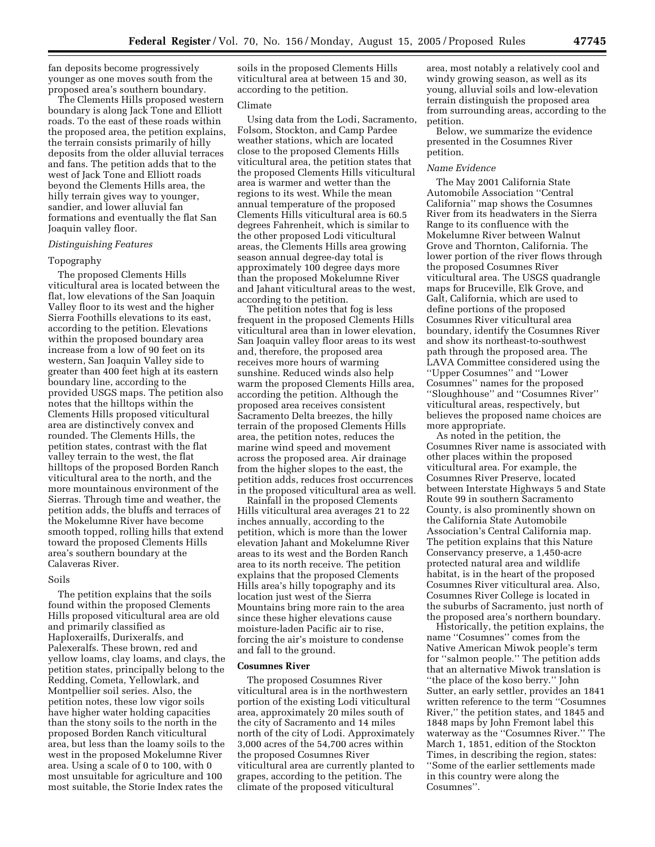fan deposits become progressively younger as one moves south from the proposed area's southern boundary.

The Clements Hills proposed western boundary is along Jack Tone and Elliott roads. To the east of these roads within the proposed area, the petition explains, the terrain consists primarily of hilly deposits from the older alluvial terraces and fans. The petition adds that to the west of Jack Tone and Elliott roads beyond the Clements Hills area, the hilly terrain gives way to younger, sandier, and lower alluvial fan formations and eventually the flat San Joaquin valley floor.

# *Distinguishing Features*

## Topography

The proposed Clements Hills viticultural area is located between the flat, low elevations of the San Joaquin Valley floor to its west and the higher Sierra Foothills elevations to its east, according to the petition. Elevations within the proposed boundary area increase from a low of 90 feet on its western, San Joaquin Valley side to greater than 400 feet high at its eastern boundary line, according to the provided USGS maps. The petition also notes that the hilltops within the Clements Hills proposed viticultural area are distinctively convex and rounded. The Clements Hills, the petition states, contrast with the flat valley terrain to the west, the flat hilltops of the proposed Borden Ranch viticultural area to the north, and the more mountainous environment of the Sierras. Through time and weather, the petition adds, the bluffs and terraces of the Mokelumne River have become smooth topped, rolling hills that extend toward the proposed Clements Hills area's southern boundary at the Calaveras River.

# Soils

The petition explains that the soils found within the proposed Clements Hills proposed viticultural area are old and primarily classified as Haploxerailfs, Durixeralfs, and Palexeralfs. These brown, red and yellow loams, clay loams, and clays, the petition states, principally belong to the Redding, Cometa, Yellowlark, and Montpellier soil series. Also, the petition notes, these low vigor soils have higher water holding capacities than the stony soils to the north in the proposed Borden Ranch viticultural area, but less than the loamy soils to the west in the proposed Mokelumne River area. Using a scale of 0 to 100, with 0 most unsuitable for agriculture and 100 most suitable, the Storie Index rates the

soils in the proposed Clements Hills viticultural area at between 15 and 30, according to the petition.

# Climate

Using data from the Lodi, Sacramento, Folsom, Stockton, and Camp Pardee weather stations, which are located close to the proposed Clements Hills viticultural area, the petition states that the proposed Clements Hills viticultural area is warmer and wetter than the regions to its west. While the mean annual temperature of the proposed Clements Hills viticultural area is 60.5 degrees Fahrenheit, which is similar to the other proposed Lodi viticultural areas, the Clements Hills area growing season annual degree-day total is approximately 100 degree days more than the proposed Mokelumne River and Jahant viticultural areas to the west, according to the petition.

The petition notes that fog is less frequent in the proposed Clements Hills viticultural area than in lower elevation, San Joaquin valley floor areas to its west and, therefore, the proposed area receives more hours of warming sunshine. Reduced winds also help warm the proposed Clements Hills area, according the petition. Although the proposed area receives consistent Sacramento Delta breezes, the hilly terrain of the proposed Clements Hills area, the petition notes, reduces the marine wind speed and movement across the proposed area. Air drainage from the higher slopes to the east, the petition adds, reduces frost occurrences in the proposed viticultural area as well.

Rainfall in the proposed Clements Hills viticultural area averages 21 to 22 inches annually, according to the petition, which is more than the lower elevation Jahant and Mokelumne River areas to its west and the Borden Ranch area to its north receive. The petition explains that the proposed Clements Hills area's hilly topography and its location just west of the Sierra Mountains bring more rain to the area since these higher elevations cause moisture-laden Pacific air to rise, forcing the air's moisture to condense and fall to the ground.

## **Cosumnes River**

The proposed Cosumnes River viticultural area is in the northwestern portion of the existing Lodi viticultural area, approximately 20 miles south of the city of Sacramento and 14 miles north of the city of Lodi. Approximately 3,000 acres of the 54,700 acres within the proposed Cosumnes River viticultural area are currently planted to grapes, according to the petition. The climate of the proposed viticultural

area, most notably a relatively cool and windy growing season, as well as its young, alluvial soils and low-elevation terrain distinguish the proposed area from surrounding areas, according to the petition.

Below, we summarize the evidence presented in the Cosumnes River petition.

## *Name Evidence*

The May 2001 California State Automobile Association ''Central California'' map shows the Cosumnes River from its headwaters in the Sierra Range to its confluence with the Mokelumne River between Walnut Grove and Thornton, California. The lower portion of the river flows through the proposed Cosumnes River viticultural area. The USGS quadrangle maps for Bruceville, Elk Grove, and Galt, California, which are used to define portions of the proposed Cosumnes River viticultural area boundary, identify the Cosumnes River and show its northeast-to-southwest path through the proposed area. The LAVA Committee considered using the ''Upper Cosumnes'' and ''Lower Cosumnes'' names for the proposed ''Sloughhouse'' and ''Cosumnes River'' viticultural areas, respectively, but believes the proposed name choices are more appropriate.

As noted in the petition, the Cosumnes River name is associated with other places within the proposed viticultural area. For example, the Cosumnes River Preserve, located between Interstate Highways 5 and State Route 99 in southern Sacramento County, is also prominently shown on the California State Automobile Association's Central California map. The petition explains that this Nature Conservancy preserve, a 1,450-acre protected natural area and wildlife habitat, is in the heart of the proposed Cosumnes River viticultural area. Also, Cosumnes River College is located in the suburbs of Sacramento, just north of the proposed area's northern boundary.

Historically, the petition explains, the name ''Cosumnes'' comes from the Native American Miwok people's term for ''salmon people.'' The petition adds that an alternative Miwok translation is ''the place of the koso berry.'' John Sutter, an early settler, provides an 1841 written reference to the term ''Cosumnes River,'' the petition states, and 1845 and 1848 maps by John Fremont label this waterway as the ''Cosumnes River.'' The March 1, 1851, edition of the Stockton Times, in describing the region, states: ''Some of the earlier settlements made in this country were along the Cosumnes''.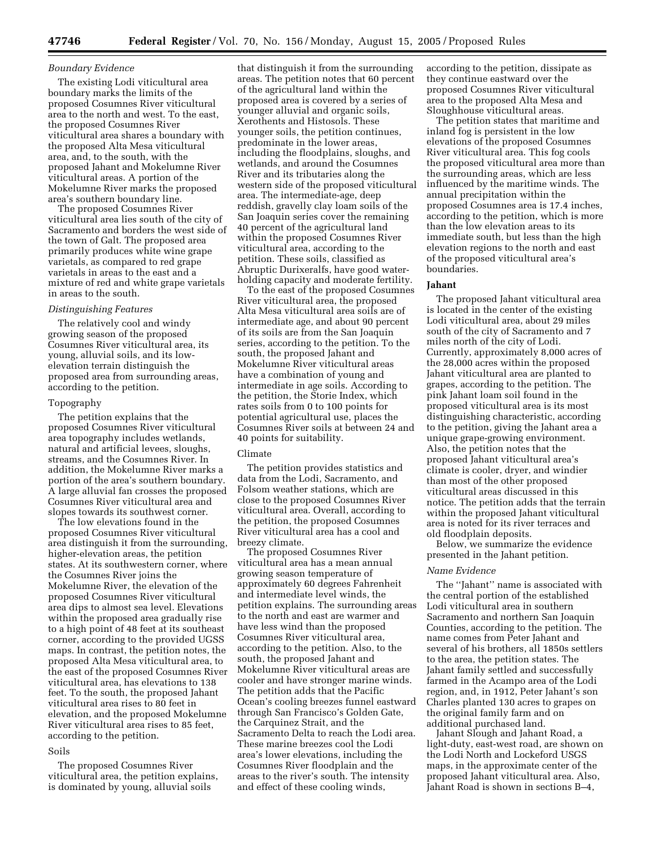## *Boundary Evidence*

The existing Lodi viticultural area boundary marks the limits of the proposed Cosumnes River viticultural area to the north and west. To the east, the proposed Cosumnes River viticultural area shares a boundary with the proposed Alta Mesa viticultural area, and, to the south, with the proposed Jahant and Mokelumne River viticultural areas. A portion of the Mokelumne River marks the proposed area's southern boundary line.

The proposed Cosumnes River viticultural area lies south of the city of Sacramento and borders the west side of the town of Galt. The proposed area primarily produces white wine grape varietals, as compared to red grape varietals in areas to the east and a mixture of red and white grape varietals in areas to the south.

## *Distinguishing Features*

The relatively cool and windy growing season of the proposed Cosumnes River viticultural area, its young, alluvial soils, and its lowelevation terrain distinguish the proposed area from surrounding areas, according to the petition.

## Topography

The petition explains that the proposed Cosumnes River viticultural area topography includes wetlands, natural and artificial levees, sloughs, streams, and the Cosumnes River. In addition, the Mokelumne River marks a portion of the area's southern boundary. A large alluvial fan crosses the proposed Cosumnes River viticultural area and slopes towards its southwest corner.

The low elevations found in the proposed Cosumnes River viticultural area distinguish it from the surrounding, higher-elevation areas, the petition states. At its southwestern corner, where the Cosumnes River joins the Mokelumne River, the elevation of the proposed Cosumnes River viticultural area dips to almost sea level. Elevations within the proposed area gradually rise to a high point of 48 feet at its southeast corner, according to the provided UGSS maps. In contrast, the petition notes, the proposed Alta Mesa viticultural area, to the east of the proposed Cosumnes River viticultural area, has elevations to 138 feet. To the south, the proposed Jahant viticultural area rises to 80 feet in elevation, and the proposed Mokelumne River viticultural area rises to 85 feet, according to the petition.

# Soils

The proposed Cosumnes River viticultural area, the petition explains, is dominated by young, alluvial soils

that distinguish it from the surrounding areas. The petition notes that 60 percent of the agricultural land within the proposed area is covered by a series of younger alluvial and organic soils, Xerothents and Histosols. These younger soils, the petition continues, predominate in the lower areas, including the floodplains, sloughs, and wetlands, and around the Cosumnes River and its tributaries along the western side of the proposed viticultural area. The intermediate-age, deep reddish, gravelly clay loam soils of the San Joaquin series cover the remaining 40 percent of the agricultural land within the proposed Cosumnes River viticultural area, according to the petition. These soils, classified as Abruptic Durixeralfs, have good waterholding capacity and moderate fertility.

To the east of the proposed Cosumnes River viticultural area, the proposed Alta Mesa viticultural area soils are of intermediate age, and about 90 percent of its soils are from the San Joaquin series, according to the petition. To the south, the proposed Jahant and Mokelumne River viticultural areas have a combination of young and intermediate in age soils. According to the petition, the Storie Index, which rates soils from 0 to 100 points for potential agricultural use, places the Cosumnes River soils at between 24 and 40 points for suitability.

#### Climate

The petition provides statistics and data from the Lodi, Sacramento, and Folsom weather stations, which are close to the proposed Cosumnes River viticultural area. Overall, according to the petition, the proposed Cosumnes River viticultural area has a cool and breezy climate.

The proposed Cosumnes River viticultural area has a mean annual growing season temperature of approximately 60 degrees Fahrenheit and intermediate level winds, the petition explains. The surrounding areas to the north and east are warmer and have less wind than the proposed Cosumnes River viticultural area, according to the petition. Also, to the south, the proposed Jahant and Mokelumne River viticultural areas are cooler and have stronger marine winds. The petition adds that the Pacific Ocean's cooling breezes funnel eastward through San Francisco's Golden Gate, the Carquinez Strait, and the Sacramento Delta to reach the Lodi area. These marine breezes cool the Lodi area's lower elevations, including the Cosumnes River floodplain and the areas to the river's south. The intensity and effect of these cooling winds,

according to the petition, dissipate as they continue eastward over the proposed Cosumnes River viticultural area to the proposed Alta Mesa and Sloughhouse viticultural areas.

The petition states that maritime and inland fog is persistent in the low elevations of the proposed Cosumnes River viticultural area. This fog cools the proposed viticultural area more than the surrounding areas, which are less influenced by the maritime winds. The annual precipitation within the proposed Cosumnes area is 17.4 inches, according to the petition, which is more than the low elevation areas to its immediate south, but less than the high elevation regions to the north and east of the proposed viticultural area's boundaries.

## **Jahant**

The proposed Jahant viticultural area is located in the center of the existing Lodi viticultural area, about 29 miles south of the city of Sacramento and 7 miles north of the city of Lodi. Currently, approximately 8,000 acres of the 28,000 acres within the proposed Jahant viticultural area are planted to grapes, according to the petition. The pink Jahant loam soil found in the proposed viticultural area is its most distinguishing characteristic, according to the petition, giving the Jahant area a unique grape-growing environment. Also, the petition notes that the proposed Jahant viticultural area's climate is cooler, dryer, and windier than most of the other proposed viticultural areas discussed in this notice. The petition adds that the terrain within the proposed Jahant viticultural area is noted for its river terraces and old floodplain deposits.

Below, we summarize the evidence presented in the Jahant petition.

#### *Name Evidence*

The ''Jahant'' name is associated with the central portion of the established Lodi viticultural area in southern Sacramento and northern San Joaquin Counties, according to the petition. The name comes from Peter Jahant and several of his brothers, all 1850s settlers to the area, the petition states. The Jahant family settled and successfully farmed in the Acampo area of the Lodi region, and, in 1912, Peter Jahant's son Charles planted 130 acres to grapes on the original family farm and on additional purchased land.

Jahant Slough and Jahant Road, a light-duty, east-west road, are shown on the Lodi North and Lockeford USGS maps, in the approximate center of the proposed Jahant viticultural area. Also, Jahant Road is shown in sections B–4,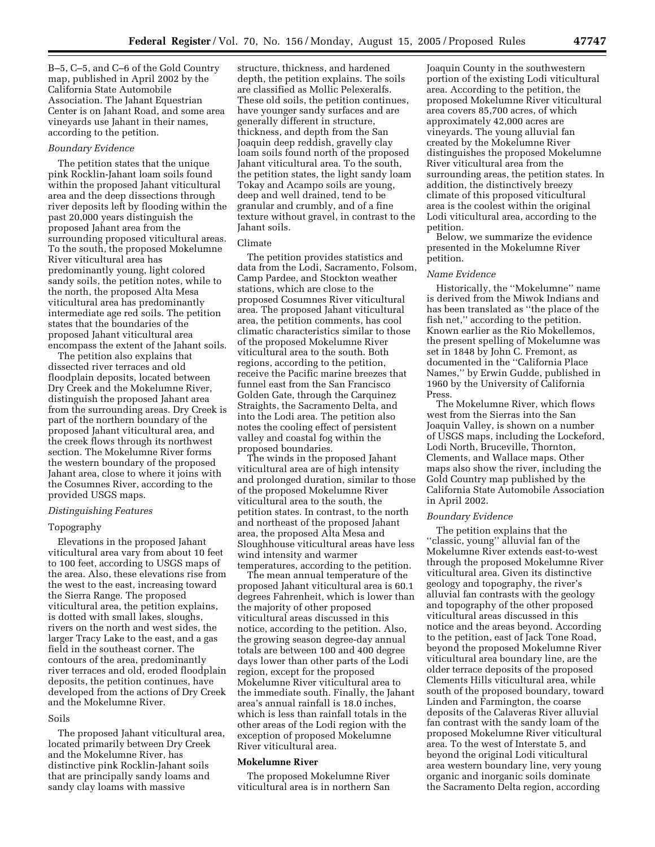B–5, C–5, and C–6 of the Gold Country map, published in April 2002 by the California State Automobile Association. The Jahant Equestrian Center is on Jahant Road, and some area vineyards use Jahant in their names, according to the petition.

## *Boundary Evidence*

The petition states that the unique pink Rocklin-Jahant loam soils found within the proposed Jahant viticultural area and the deep dissections through river deposits left by flooding within the past 20,000 years distinguish the proposed Jahant area from the surrounding proposed viticultural areas. To the south, the proposed Mokelumne River viticultural area has predominantly young, light colored sandy soils, the petition notes, while to the north, the proposed Alta Mesa viticultural area has predominantly intermediate age red soils. The petition states that the boundaries of the proposed Jahant viticultural area encompass the extent of the Jahant soils.

The petition also explains that dissected river terraces and old floodplain deposits, located between Dry Creek and the Mokelumne River, distinguish the proposed Jahant area from the surrounding areas. Dry Creek is part of the northern boundary of the proposed Jahant viticultural area, and the creek flows through its northwest section. The Mokelumne River forms the western boundary of the proposed Jahant area, close to where it joins with the Cosumnes River, according to the provided USGS maps.

# *Distinguishing Features*

# Topography

Elevations in the proposed Jahant viticultural area vary from about 10 feet to 100 feet, according to USGS maps of the area. Also, these elevations rise from the west to the east, increasing toward the Sierra Range. The proposed viticultural area, the petition explains, is dotted with small lakes, sloughs, rivers on the north and west sides, the larger Tracy Lake to the east, and a gas field in the southeast corner. The contours of the area, predominantly river terraces and old, eroded floodplain deposits, the petition continues, have developed from the actions of Dry Creek and the Mokelumne River.

## Soils

The proposed Jahant viticultural area, located primarily between Dry Creek and the Mokelumne River, has distinctive pink Rocklin-Jahant soils that are principally sandy loams and sandy clay loams with massive

structure, thickness, and hardened depth, the petition explains. The soils are classified as Mollic Pelexeralfs. These old soils, the petition continues, have younger sandy surfaces and are generally different in structure, thickness, and depth from the San Joaquin deep reddish, gravelly clay loam soils found north of the proposed Jahant viticultural area. To the south, the petition states, the light sandy loam Tokay and Acampo soils are young, deep and well drained, tend to be granular and crumbly, and of a fine texture without gravel, in contrast to the Jahant soils.

# Climate

The petition provides statistics and data from the Lodi, Sacramento, Folsom, Camp Pardee, and Stockton weather stations, which are close to the proposed Cosumnes River viticultural area. The proposed Jahant viticultural area, the petition comments, has cool climatic characteristics similar to those of the proposed Mokelumne River viticultural area to the south. Both regions, according to the petition, receive the Pacific marine breezes that funnel east from the San Francisco Golden Gate, through the Carquinez Straights, the Sacramento Delta, and into the Lodi area. The petition also notes the cooling effect of persistent valley and coastal fog within the proposed boundaries.

The winds in the proposed Jahant viticultural area are of high intensity and prolonged duration, similar to those of the proposed Mokelumne River viticultural area to the south, the petition states. In contrast, to the north and northeast of the proposed Jahant area, the proposed Alta Mesa and Sloughhouse viticultural areas have less wind intensity and warmer temperatures, according to the petition.

The mean annual temperature of the proposed Jahant viticultural area is 60.1 degrees Fahrenheit, which is lower than the majority of other proposed viticultural areas discussed in this notice, according to the petition. Also, the growing season degree-day annual totals are between 100 and 400 degree days lower than other parts of the Lodi region, except for the proposed Mokelumne River viticultural area to the immediate south. Finally, the Jahant area's annual rainfall is 18.0 inches, which is less than rainfall totals in the other areas of the Lodi region with the exception of proposed Mokelumne River viticultural area.

## **Mokelumne River**

The proposed Mokelumne River viticultural area is in northern San

Joaquin County in the southwestern portion of the existing Lodi viticultural area. According to the petition, the proposed Mokelumne River viticultural area covers 85,700 acres, of which approximately 42,000 acres are vineyards. The young alluvial fan created by the Mokelumne River distinguishes the proposed Mokelumne River viticultural area from the surrounding areas, the petition states. In addition, the distinctively breezy climate of this proposed viticultural area is the coolest within the original Lodi viticultural area, according to the petition.

Below, we summarize the evidence presented in the Mokelumne River petition.

## *Name Evidence*

Historically, the ''Mokelumne'' name is derived from the Miwok Indians and has been translated as ''the place of the fish net,'' according to the petition. Known earlier as the Rio Mokellemos, the present spelling of Mokelumne was set in 1848 by John C. Fremont, as documented in the ''California Place Names,'' by Erwin Gudde, published in 1960 by the University of California Press.

The Mokelumne River, which flows west from the Sierras into the San Joaquin Valley, is shown on a number of USGS maps, including the Lockeford, Lodi North, Bruceville, Thornton, Clements, and Wallace maps. Other maps also show the river, including the Gold Country map published by the California State Automobile Association in April 2002.

#### *Boundary Evidence*

The petition explains that the ''classic, young'' alluvial fan of the Mokelumne River extends east-to-west through the proposed Mokelumne River viticultural area. Given its distinctive geology and topography, the river's alluvial fan contrasts with the geology and topography of the other proposed viticultural areas discussed in this notice and the areas beyond. According to the petition, east of Jack Tone Road, beyond the proposed Mokelumne River viticultural area boundary line, are the older terrace deposits of the proposed Clements Hills viticultural area, while south of the proposed boundary, toward Linden and Farmington, the coarse deposits of the Calaveras River alluvial fan contrast with the sandy loam of the proposed Mokelumne River viticultural area. To the west of Interstate 5, and beyond the original Lodi viticultural area western boundary line, very young organic and inorganic soils dominate the Sacramento Delta region, according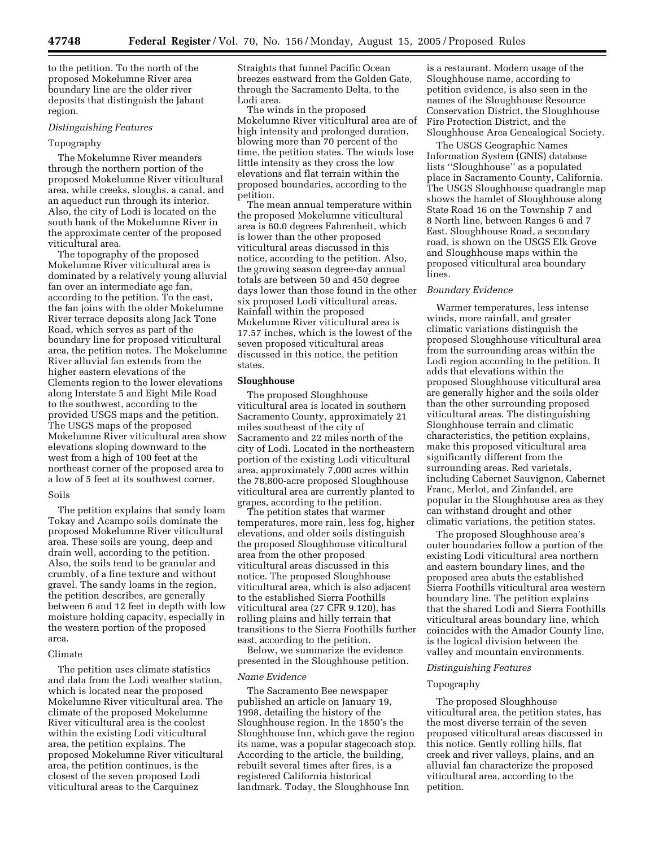to the petition. To the north of the proposed Mokelumne River area boundary line are the older river deposits that distinguish the Jahant region.

# *Distinguishing Features*

# Topography

The Mokelumne River meanders through the northern portion of the proposed Mokelumne River viticultural area, while creeks, sloughs, a canal, and an aqueduct run through its interior. Also, the city of Lodi is located on the south bank of the Mokelumne River in the approximate center of the proposed viticultural area.

The topography of the proposed Mokelumne River viticultural area is dominated by a relatively young alluvial fan over an intermediate age fan, according to the petition. To the east, the fan joins with the older Mokelumne River terrace deposits along Jack Tone Road, which serves as part of the boundary line for proposed viticultural area, the petition notes. The Mokelumne River alluvial fan extends from the higher eastern elevations of the Clements region to the lower elevations along Interstate 5 and Eight Mile Road to the southwest, according to the provided USGS maps and the petition. The USGS maps of the proposed Mokelumne River viticultural area show elevations sloping downward to the west from a high of 100 feet at the northeast corner of the proposed area to a low of 5 feet at its southwest corner.

# Soils

The petition explains that sandy loam Tokay and Acampo soils dominate the proposed Mokelumne River viticultural area. These soils are young, deep and drain well, according to the petition. Also, the soils tend to be granular and crumbly, of a fine texture and without gravel. The sandy loams in the region, the petition describes, are generally between 6 and 12 feet in depth with low moisture holding capacity, especially in the western portion of the proposed area.

# Climate

The petition uses climate statistics and data from the Lodi weather station, which is located near the proposed Mokelumne River viticultural area. The climate of the proposed Mokelumne River viticultural area is the coolest within the existing Lodi viticultural area, the petition explains. The proposed Mokelumne River viticultural area, the petition continues, is the closest of the seven proposed Lodi viticultural areas to the Carquinez

Straights that funnel Pacific Ocean breezes eastward from the Golden Gate, through the Sacramento Delta, to the Lodi area.

The winds in the proposed Mokelumne River viticultural area are of high intensity and prolonged duration, blowing more than 70 percent of the time, the petition states. The winds lose little intensity as they cross the low elevations and flat terrain within the proposed boundaries, according to the petition.

The mean annual temperature within the proposed Mokelumne viticultural area is 60.0 degrees Fahrenheit, which is lower than the other proposed viticultural areas discussed in this notice, according to the petition. Also, the growing season degree-day annual totals are between 50 and 450 degree days lower than those found in the other six proposed Lodi viticultural areas. Rainfall within the proposed Mokelumne River viticultural area is 17.57 inches, which is the lowest of the seven proposed viticultural areas discussed in this notice, the petition states.

# **Sloughhouse**

The proposed Sloughhouse viticultural area is located in southern Sacramento County, approximately 21 miles southeast of the city of Sacramento and 22 miles north of the city of Lodi. Located in the northeastern portion of the existing Lodi viticultural area, approximately 7,000 acres within the 78,800-acre proposed Sloughhouse viticultural area are currently planted to grapes, according to the petition.

The petition states that warmer temperatures, more rain, less fog, higher elevations, and older soils distinguish the proposed Sloughhouse viticultural area from the other proposed viticultural areas discussed in this notice. The proposed Sloughhouse viticultural area, which is also adjacent to the established Sierra Foothills viticultural area (27 CFR 9.120), has rolling plains and hilly terrain that transitions to the Sierra Foothills further east, according to the petition.

Below, we summarize the evidence presented in the Sloughhouse petition.

# *Name Evidence*

The Sacramento Bee newspaper published an article on January 19, 1998, detailing the history of the Sloughhouse region. In the 1850's the Sloughhouse Inn, which gave the region its name, was a popular stagecoach stop. According to the article, the building, rebuilt several times after fires, is a registered California historical landmark. Today, the Sloughhouse Inn

is a restaurant. Modern usage of the Sloughhouse name, according to petition evidence, is also seen in the names of the Sloughhouse Resource Conservation District, the Sloughhouse Fire Protection District, and the Sloughhouse Area Genealogical Society.

The USGS Geographic Names Information System (GNIS) database lists ''Sloughhouse'' as a populated place in Sacramento County, California. The USGS Sloughhouse quadrangle map shows the hamlet of Sloughhouse along State Road 16 on the Township 7 and 8 North line, between Ranges 6 and 7 East. Sloughhouse Road, a secondary road, is shown on the USGS Elk Grove and Sloughhouse maps within the proposed viticultural area boundary lines.

# *Boundary Evidence*

Warmer temperatures, less intense winds, more rainfall, and greater climatic variations distinguish the proposed Sloughhouse viticultural area from the surrounding areas within the Lodi region according to the petition. It adds that elevations within the proposed Sloughhouse viticultural area are generally higher and the soils older than the other surrounding proposed viticultural areas. The distinguishing Sloughhouse terrain and climatic characteristics, the petition explains, make this proposed viticultural area significantly different from the surrounding areas. Red varietals, including Cabernet Sauvignon, Cabernet Franc, Merlot, and Zinfandel, are popular in the Sloughhouse area as they can withstand drought and other climatic variations, the petition states.

The proposed Sloughhouse area's outer boundaries follow a portion of the existing Lodi viticultural area northern and eastern boundary lines, and the proposed area abuts the established Sierra Foothills viticultural area western boundary line. The petition explains that the shared Lodi and Sierra Foothills viticultural areas boundary line, which coincides with the Amador County line, is the logical division between the valley and mountain environments.

## *Distinguishing Features*

#### Topography

The proposed Sloughhouse viticultural area, the petition states, has the most diverse terrain of the seven proposed viticultural areas discussed in this notice. Gently rolling hills, flat creek and river valleys, plains, and an alluvial fan characterize the proposed viticultural area, according to the petition.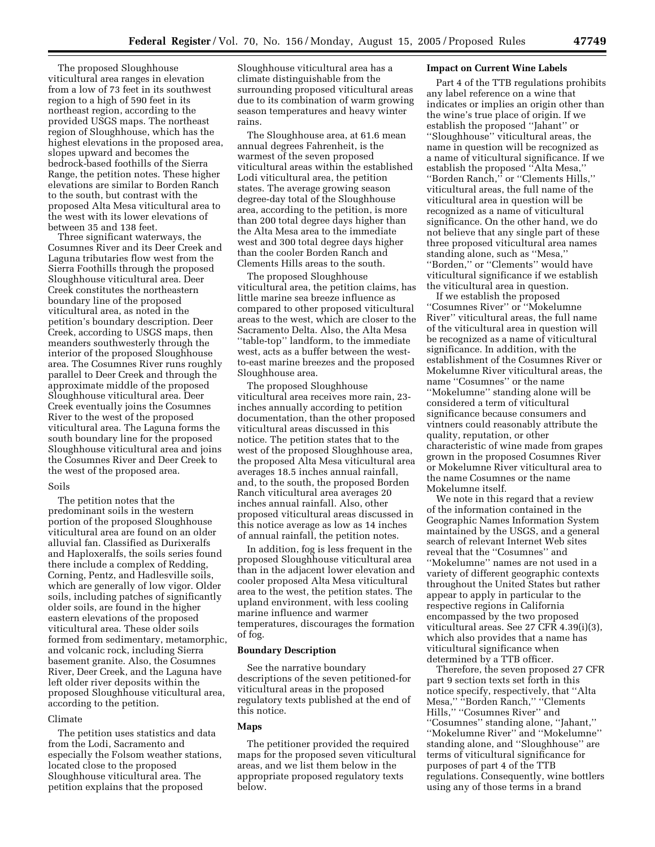The proposed Sloughhouse viticultural area ranges in elevation from a low of 73 feet in its southwest region to a high of 590 feet in its northeast region, according to the provided USGS maps. The northeast region of Sloughhouse, which has the highest elevations in the proposed area, slopes upward and becomes the bedrock-based foothills of the Sierra Range, the petition notes. These higher elevations are similar to Borden Ranch to the south, but contrast with the proposed Alta Mesa viticultural area to the west with its lower elevations of between 35 and 138 feet.

Three significant waterways, the Cosumnes River and its Deer Creek and Laguna tributaries flow west from the Sierra Foothills through the proposed Sloughhouse viticultural area. Deer Creek constitutes the northeastern boundary line of the proposed viticultural area, as noted in the petition's boundary description. Deer Creek, according to USGS maps, then meanders southwesterly through the interior of the proposed Sloughhouse area. The Cosumnes River runs roughly parallel to Deer Creek and through the approximate middle of the proposed Sloughhouse viticultural area. Deer Creek eventually joins the Cosumnes River to the west of the proposed viticultural area. The Laguna forms the south boundary line for the proposed Sloughhouse viticultural area and joins the Cosumnes River and Deer Creek to the west of the proposed area.

# Soils

The petition notes that the predominant soils in the western portion of the proposed Sloughhouse viticultural area are found on an older alluvial fan. Classified as Durixeralfs and Haploxeralfs, the soils series found there include a complex of Redding, Corning, Pentz, and Hadlesville soils, which are generally of low vigor. Older soils, including patches of significantly older soils, are found in the higher eastern elevations of the proposed viticultural area. These older soils formed from sedimentary, metamorphic, and volcanic rock, including Sierra basement granite. Also, the Cosumnes River, Deer Creek, and the Laguna have left older river deposits within the proposed Sloughhouse viticultural area, according to the petition.

## Climate

The petition uses statistics and data from the Lodi, Sacramento and especially the Folsom weather stations, located close to the proposed Sloughhouse viticultural area. The petition explains that the proposed

Sloughhouse viticultural area has a climate distinguishable from the surrounding proposed viticultural areas due to its combination of warm growing season temperatures and heavy winter rains.

The Sloughhouse area, at 61.6 mean annual degrees Fahrenheit, is the warmest of the seven proposed viticultural areas within the established Lodi viticultural area, the petition states. The average growing season degree-day total of the Sloughhouse area, according to the petition, is more than 200 total degree days higher than the Alta Mesa area to the immediate west and 300 total degree days higher than the cooler Borden Ranch and Clements Hills areas to the south.

The proposed Sloughhouse viticultural area, the petition claims, has little marine sea breeze influence as compared to other proposed viticultural areas to the west, which are closer to the Sacramento Delta. Also, the Alta Mesa ''table-top'' landform, to the immediate west, acts as a buffer between the westto-east marine breezes and the proposed Sloughhouse area.

The proposed Sloughhouse viticultural area receives more rain, 23 inches annually according to petition documentation, than the other proposed viticultural areas discussed in this notice. The petition states that to the west of the proposed Sloughhouse area, the proposed Alta Mesa viticultural area averages 18.5 inches annual rainfall, and, to the south, the proposed Borden Ranch viticultural area averages 20 inches annual rainfall. Also, other proposed viticultural areas discussed in this notice average as low as 14 inches of annual rainfall, the petition notes.

In addition, fog is less frequent in the proposed Sloughhouse viticultural area than in the adjacent lower elevation and cooler proposed Alta Mesa viticultural area to the west, the petition states. The upland environment, with less cooling marine influence and warmer temperatures, discourages the formation of fog.

# **Boundary Description**

See the narrative boundary descriptions of the seven petitioned-for viticultural areas in the proposed regulatory texts published at the end of this notice.

# **Maps**

The petitioner provided the required maps for the proposed seven viticultural areas, and we list them below in the appropriate proposed regulatory texts below.

# **Impact on Current Wine Labels**

Part 4 of the TTB regulations prohibits any label reference on a wine that indicates or implies an origin other than the wine's true place of origin. If we establish the proposed ''Jahant'' or ''Sloughhouse'' viticultural areas, the name in question will be recognized as a name of viticultural significance. If we establish the proposed ''Alta Mesa,'' ''Borden Ranch,'' or ''Clements Hills,'' viticultural areas, the full name of the viticultural area in question will be recognized as a name of viticultural significance. On the other hand, we do not believe that any single part of these three proposed viticultural area names standing alone, such as ''Mesa,'' ''Borden,'' or ''Clements'' would have viticultural significance if we establish the viticultural area in question.

If we establish the proposed ''Cosumnes River'' or ''Mokelumne River'' viticultural areas, the full name of the viticultural area in question will be recognized as a name of viticultural significance. In addition, with the establishment of the Cosumnes River or Mokelumne River viticultural areas, the name ''Cosumnes'' or the name ''Mokelumne'' standing alone will be considered a term of viticultural significance because consumers and vintners could reasonably attribute the quality, reputation, or other characteristic of wine made from grapes grown in the proposed Cosumnes River or Mokelumne River viticultural area to the name Cosumnes or the name Mokelumne itself.

We note in this regard that a review of the information contained in the Geographic Names Information System maintained by the USGS, and a general search of relevant Internet Web sites reveal that the ''Cosumnes'' and ''Mokelumne'' names are not used in a variety of different geographic contexts throughout the United States but rather appear to apply in particular to the respective regions in California encompassed by the two proposed viticultural areas. See 27 CFR 4.39(i)(3), which also provides that a name has viticultural significance when determined by a TTB officer.

Therefore, the seven proposed 27 CFR part 9 section texts set forth in this notice specify, respectively, that ''Alta Mesa,'' ''Borden Ranch,'' ''Clements Hills," "Cosumnes River" and ''Cosumnes'' standing alone, ''Jahant,'' ''Mokelumne River'' and ''Mokelumne'' standing alone, and ''Sloughhouse'' are terms of viticultural significance for purposes of part 4 of the TTB regulations. Consequently, wine bottlers using any of those terms in a brand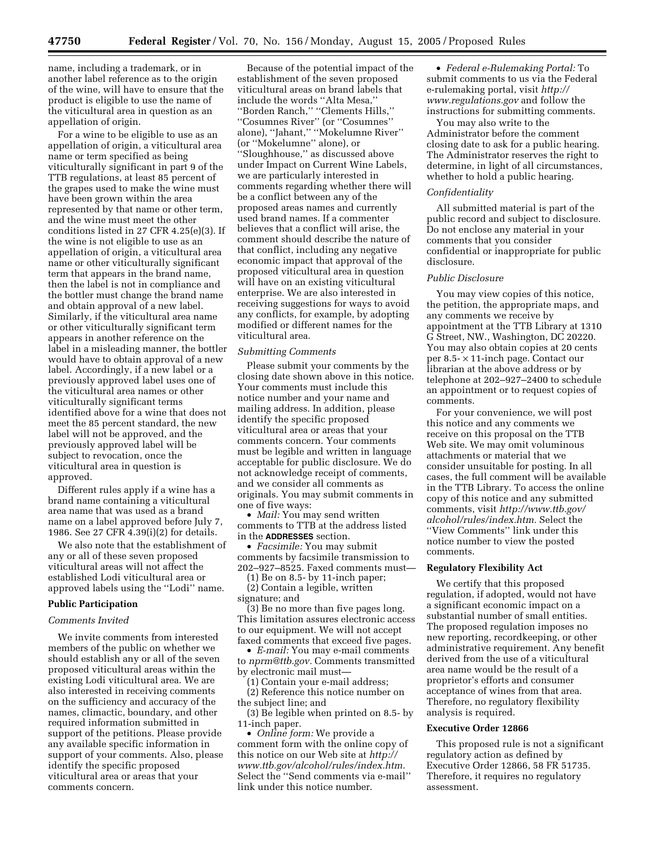name, including a trademark, or in another label reference as to the origin of the wine, will have to ensure that the product is eligible to use the name of the viticultural area in question as an appellation of origin.

For a wine to be eligible to use as an appellation of origin, a viticultural area name or term specified as being viticulturally significant in part 9 of the TTB regulations, at least 85 percent of the grapes used to make the wine must have been grown within the area represented by that name or other term, and the wine must meet the other conditions listed in 27 CFR 4.25(e)(3). If the wine is not eligible to use as an appellation of origin, a viticultural area name or other viticulturally significant term that appears in the brand name, then the label is not in compliance and the bottler must change the brand name and obtain approval of a new label. Similarly, if the viticultural area name or other viticulturally significant term appears in another reference on the label in a misleading manner, the bottler would have to obtain approval of a new label. Accordingly, if a new label or a previously approved label uses one of the viticultural area names or other viticulturally significant terms identified above for a wine that does not meet the 85 percent standard, the new label will not be approved, and the previously approved label will be subject to revocation, once the viticultural area in question is approved.

Different rules apply if a wine has a brand name containing a viticultural area name that was used as a brand name on a label approved before July 7, 1986. See 27 CFR 4.39(i)(2) for details.

We also note that the establishment of any or all of these seven proposed viticultural areas will not affect the established Lodi viticultural area or approved labels using the ''Lodi'' name.

# **Public Participation**

#### *Comments Invited*

We invite comments from interested members of the public on whether we should establish any or all of the seven proposed viticultural areas within the existing Lodi viticultural area. We are also interested in receiving comments on the sufficiency and accuracy of the names, climactic, boundary, and other required information submitted in support of the petitions. Please provide any available specific information in support of your comments. Also, please identify the specific proposed viticultural area or areas that your comments concern.

Because of the potential impact of the establishment of the seven proposed viticultural areas on brand labels that include the words ''Alta Mesa,'' ''Borden Ranch,'' ''Clements Hills,'' ''Cosumnes River'' (or ''Cosumnes'' alone), ''Jahant,'' ''Mokelumne River'' (or ''Mokelumne'' alone), or ''Sloughhouse,'' as discussed above under Impact on Current Wine Labels, we are particularly interested in comments regarding whether there will be a conflict between any of the proposed areas names and currently used brand names. If a commenter believes that a conflict will arise, the comment should describe the nature of that conflict, including any negative economic impact that approval of the proposed viticultural area in question will have on an existing viticultural enterprise. We are also interested in receiving suggestions for ways to avoid any conflicts, for example, by adopting modified or different names for the viticultural area.

## *Submitting Comments*

Please submit your comments by the closing date shown above in this notice. Your comments must include this notice number and your name and mailing address. In addition, please identify the specific proposed viticultural area or areas that your comments concern. Your comments must be legible and written in language acceptable for public disclosure. We do not acknowledge receipt of comments, and we consider all comments as originals. You may submit comments in one of five ways:

• *Mail:* You may send written comments to TTB at the address listed in the **ADDRESSES** section.

• *Facsimile:* You may submit comments by facsimile transmission to 202–927–8525. Faxed comments must—

(1) Be on 8.5- by 11-inch paper; (2) Contain a legible, written signature; and

(3) Be no more than five pages long. This limitation assures electronic access to our equipment. We will not accept faxed comments that exceed five pages.

• *E-mail:* You may e-mail comments to *nprm@ttb.gov.* Comments transmitted by electronic mail must—

(1) Contain your e-mail address; (2) Reference this notice number on

the subject line; and

(3) Be legible when printed on 8.5- by 11-inch paper.

• *Online form:* We provide a comment form with the online copy of this notice on our Web site at *http:// www.ttb.gov/alcohol/rules/index.htm.* Select the ''Send comments via e-mail'' link under this notice number.

• *Federal e-Rulemaking Portal:* To submit comments to us via the Federal e-rulemaking portal, visit *http:// www.regulations.gov* and follow the instructions for submitting comments.

You may also write to the Administrator before the comment closing date to ask for a public hearing. The Administrator reserves the right to determine, in light of all circumstances, whether to hold a public hearing.

## *Confidentiality*

All submitted material is part of the public record and subject to disclosure. Do not enclose any material in your comments that you consider confidential or inappropriate for public disclosure.

#### *Public Disclosure*

You may view copies of this notice, the petition, the appropriate maps, and any comments we receive by appointment at the TTB Library at 1310 G Street, NW., Washington, DC 20220. You may also obtain copies at 20 cents per 8.5- × 11-inch page. Contact our librarian at the above address or by telephone at 202–927–2400 to schedule an appointment or to request copies of comments.

For your convenience, we will post this notice and any comments we receive on this proposal on the TTB Web site. We may omit voluminous attachments or material that we consider unsuitable for posting. In all cases, the full comment will be available in the TTB Library. To access the online copy of this notice and any submitted comments, visit *http://www.ttb.gov/ alcohol/rules/index.htm.* Select the ''View Comments'' link under this notice number to view the posted comments.

## **Regulatory Flexibility Act**

We certify that this proposed regulation, if adopted, would not have a significant economic impact on a substantial number of small entities. The proposed regulation imposes no new reporting, recordkeeping, or other administrative requirement. Any benefit derived from the use of a viticultural area name would be the result of a proprietor's efforts and consumer acceptance of wines from that area. Therefore, no regulatory flexibility analysis is required.

# **Executive Order 12866**

This proposed rule is not a significant regulatory action as defined by Executive Order 12866, 58 FR 51735. Therefore, it requires no regulatory assessment.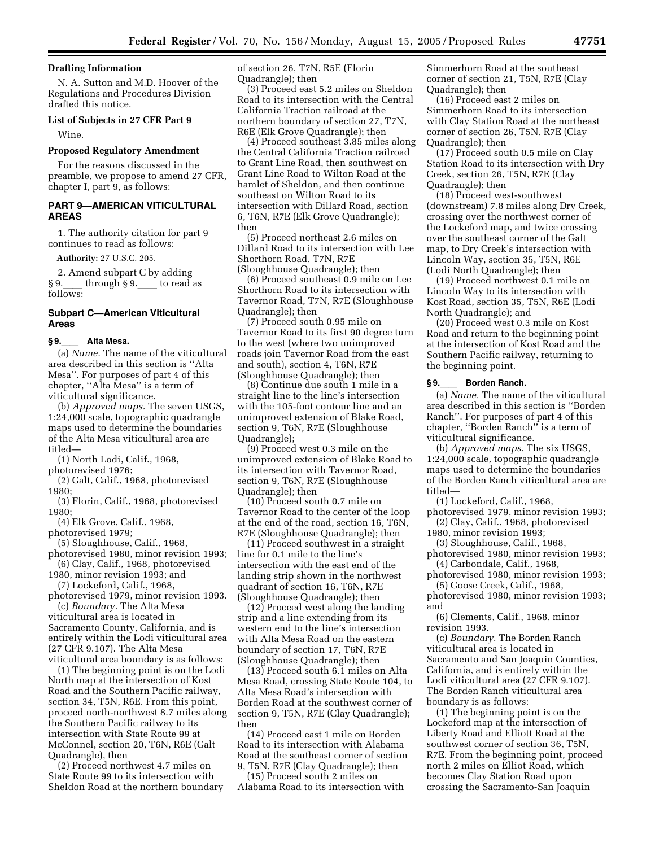# **Drafting Information**

N. A. Sutton and M.D. Hoover of the Regulations and Procedures Division drafted this notice.

#### **List of Subjects in 27 CFR Part 9**

Wine.

# **Proposed Regulatory Amendment**

For the reasons discussed in the preamble, we propose to amend 27 CFR, chapter I, part 9, as follows:

# **PART 9—AMERICAN VITICULTURAL AREAS**

1. The authority citation for part 9 continues to read as follows:

**Authority:** 27 U.S.C. 205.

2. Amend subpart C by adding  $§ 9.$  through  $§ 9.$  to read as follows:

# **Subpart C—American Viticultural Areas**

**§ 9.**ll **Alta Mesa.**  (a) *Name.* The name of the viticultural area described in this section is ''Alta Mesa''. For purposes of part 4 of this chapter, ''Alta Mesa'' is a term of viticultural significance.

(b) *Approved maps.* The seven USGS, 1:24,000 scale, topographic quadrangle maps used to determine the boundaries of the Alta Mesa viticultural area are titled—

(1) North Lodi, Calif., 1968,

photorevised 1976;

(2) Galt, Calif., 1968, photorevised 1980;

(3) Florin, Calif., 1968, photorevised 1980;

(4) Elk Grove, Calif., 1968,

photorevised 1979;

(5) Sloughhouse, Calif., 1968,

photorevised 1980, minor revision 1993; (6) Clay, Calif., 1968, photorevised

1980, minor revision 1993; and (7) Lockeford, Calif., 1968,

photorevised 1979, minor revision 1993. (c) *Boundary.* The Alta Mesa

viticultural area is located in Sacramento County, California, and is entirely within the Lodi viticultural area (27 CFR 9.107). The Alta Mesa viticultural area boundary is as follows:

(1) The beginning point is on the Lodi North map at the intersection of Kost Road and the Southern Pacific railway, section 34, T5N, R6E. From this point, proceed north-northwest 8.7 miles along the Southern Pacific railway to its intersection with State Route 99 at McConnel, section 20, T6N, R6E (Galt Quadrangle), then

(2) Proceed northwest 4.7 miles on State Route 99 to its intersection with Sheldon Road at the northern boundary of section 26, T7N, R5E (Florin Quadrangle); then

(3) Proceed east 5.2 miles on Sheldon Road to its intersection with the Central California Traction railroad at the northern boundary of section 27, T7N, R6E (Elk Grove Quadrangle); then

(4) Proceed southeast 3.85 miles along the Central California Traction railroad to Grant Line Road, then southwest on Grant Line Road to Wilton Road at the hamlet of Sheldon, and then continue southeast on Wilton Road to its intersection with Dillard Road, section 6, T6N, R7E (Elk Grove Quadrangle); then

(5) Proceed northeast 2.6 miles on Dillard Road to its intersection with Lee Shorthorn Road, T7N, R7E (Sloughhouse Quadrangle); then

(6) Proceed southeast 0.9 mile on Lee Shorthorn Road to its intersection with Tavernor Road, T7N, R7E (Sloughhouse Quadrangle); then

(7) Proceed south 0.95 mile on Tavernor Road to its first 90 degree turn to the west (where two unimproved roads join Tavernor Road from the east and south), section 4, T6N, R7E (Sloughhouse Quadrangle); then

(8) Continue due south 1 mile in a straight line to the line's intersection with the 105-foot contour line and an unimproved extension of Blake Road, section 9, T6N, R7E (Sloughhouse Quadrangle);

(9) Proceed west 0.3 mile on the unimproved extension of Blake Road to its intersection with Tavernor Road, section 9, T6N, R7E (Sloughhouse Quadrangle); then

(10) Proceed south 0.7 mile on Tavernor Road to the center of the loop at the end of the road, section 16, T6N, R7E (Sloughhouse Quadrangle); then

(11) Proceed southwest in a straight line for 0.1 mile to the line's intersection with the east end of the landing strip shown in the northwest quadrant of section 16, T6N, R7E (Sloughhouse Quadrangle); then

(12) Proceed west along the landing strip and a line extending from its western end to the line's intersection with Alta Mesa Road on the eastern boundary of section 17, T6N, R7E (Sloughhouse Quadrangle); then

(13) Proceed south 6.1 miles on Alta Mesa Road, crossing State Route 104, to Alta Mesa Road's intersection with Borden Road at the southwest corner of section 9, T5N, R7E (Clay Quadrangle); then

(14) Proceed east 1 mile on Borden Road to its intersection with Alabama Road at the southeast corner of section 9, T5N, R7E (Clay Quadrangle); then

(15) Proceed south 2 miles on Alabama Road to its intersection with Simmerhorn Road at the southeast corner of section 21, T5N, R7E (Clay Quadrangle); then

(16) Proceed east 2 miles on Simmerhorn Road to its intersection with Clay Station Road at the northeast corner of section 26, T5N, R7E (Clay Quadrangle); then

(17) Proceed south 0.5 mile on Clay Station Road to its intersection with Dry Creek, section 26, T5N, R7E (Clay Quadrangle); then

(18) Proceed west-southwest (downstream) 7.8 miles along Dry Creek, crossing over the northwest corner of the Lockeford map, and twice crossing over the southeast corner of the Galt map, to Dry Creek's intersection with Lincoln Way, section 35, T5N, R6E (Lodi North Quadrangle); then

(19) Proceed northwest 0.1 mile on Lincoln Way to its intersection with Kost Road, section 35, T5N, R6E (Lodi North Quadrangle); and

(20) Proceed west 0.3 mile on Kost Road and return to the beginning point at the intersection of Kost Road and the Southern Pacific railway, returning to the beginning point.

#### **§ 9.**ll **Borden Ranch.**

(a) *Name.* The name of the viticultural area described in this section is ''Borden Ranch''. For purposes of part 4 of this chapter, ''Borden Ranch'' is a term of viticultural significance.

(b) *Approved maps.* The six USGS, 1:24,000 scale, topographic quadrangle maps used to determine the boundaries of the Borden Ranch viticultural area are titled—

(1) Lockeford, Calif., 1968,

photorevised 1979, minor revision 1993; (2) Clay, Calif., 1968, photorevised

1980, minor revision 1993; (3) Sloughhouse, Calif., 1968,

photorevised 1980, minor revision 1993; (4) Carbondale, Calif., 1968,

photorevised 1980, minor revision 1993; (5) Goose Creek, Calif., 1968,

photorevised 1980, minor revision 1993; and

(6) Clements, Calif., 1968, minor revision 1993.

(c) *Boundary.* The Borden Ranch viticultural area is located in Sacramento and San Joaquin Counties, California, and is entirely within the Lodi viticultural area (27 CFR 9.107). The Borden Ranch viticultural area boundary is as follows:

(1) The beginning point is on the Lockeford map at the intersection of Liberty Road and Elliott Road at the southwest corner of section 36, T5N, R7E. From the beginning point, proceed north 2 miles on Elliot Road, which becomes Clay Station Road upon crossing the Sacramento-San Joaquin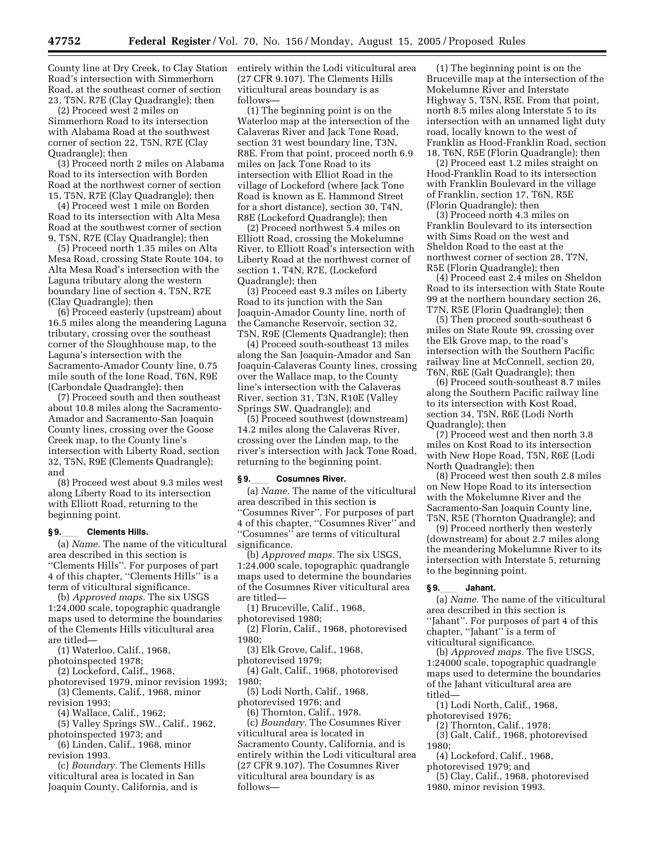County line at Dry Creek, to Clay Station Road's intersection with Simmerhorn Road, at the southeast corner of section 23, T5N, R7E (Clay Quadrangle); then

(2) Proceed west 2 miles on Simmerhorn Road to its intersection with Alabama Road at the southwest corner of section 22, T5N, R7E (Clay Quadrangle); then

(3) Proceed north 2 miles on Alabama Road to its intersection with Borden Road at the northwest corner of section 15, T5N, R7E (Clay Quadrangle); then

(4) Proceed west 1 mile on Borden Road to its intersection with Alta Mesa Road at the southwest corner of section 9, T5N, R7E (Clay Quadrangle); then

(5) Proceed north 1.35 miles on Alta Mesa Road, crossing State Route 104, to Alta Mesa Road's intersection with the Laguna tributary along the western boundary line of section 4, T5N, R7E (Clay Quadrangle); then

(6) Proceed easterly (upstream) about 16.5 miles along the meandering Laguna tributary, crossing over the southeast corner of the Sloughhouse map, to the Laguna's intersection with the Sacramento-Amador County line, 0.75 mile south of the Ione Road, T6N, R9E (Carbondale Quadrangle); then

(7) Proceed south and then southeast about 10.8 miles along the Sacramento-Amador and Sacramento-San Joaquin County lines, crossing over the Goose Creek map, to the County line's intersection with Liberty Road, section 32, T5N, R9E (Clements Quadrangle); and

(8) Proceed west about 9.3 miles west along Liberty Road to its intersection with Elliott Road, returning to the beginning point.

### **§ 9.**ll **Clements Hills.**

(a) *Name.* The name of the viticultural area described in this section is ''Clements Hills''. For purposes of part 4 of this chapter, ''Clements Hills'' is a term of viticultural significance.

(b) *Approved maps.* The six USGS 1:24,000 scale, topographic quadrangle maps used to determine the boundaries of the Clements Hills viticultural area are titled—

- (1) Waterloo, Calif., 1968,
- photoinspected 1978;

(2) Lockeford, Calif., 1968,

photorevised 1979, minor revision 1993; (3) Clements, Calif., 1968, minor

revision 1993;

(4) Wallace, Calif., 1962;

(5) Valley Springs SW., Calif., 1962, photoinspected 1973; and

(6) Linden, Calif., 1968, minor revision 1993.

(c) *Boundary.* The Clements Hills viticultural area is located in San Joaquin County, California, and is

entirely within the Lodi viticultural area (27 CFR 9.107). The Clements Hills viticultural areas boundary is as follows—

(1) The beginning point is on the Waterloo map at the intersection of the Calaveras River and Jack Tone Road, section 31 west boundary line, T3N, R8E. From that point, proceed north 6.9 miles on Jack Tone Road to its intersection with Elliot Road in the village of Lockeford (where Jack Tone Road is known as E. Hammond Street for a short distance), section 30, T4N, R8E (Lockeford Quadrangle); then

(2) Proceed northwest 5.4 miles on Elliott Road, crossing the Mokelumne River, to Elliott Road's intersection with Liberty Road at the northwest corner of section 1, T4N, R7E, (Lockeford Quadrangle); then

(3) Proceed east 9.3 miles on Liberty Road to its junction with the San Joaquin-Amador County line, north of the Camanche Reservoir, section 32, T5N, R9E (Clements Quadrangle); then

(4) Proceed south-southeast 13 miles along the San Joaquin-Amador and San Joaquin-Calaveras County lines, crossing over the Wallace map, to the County line's intersection with the Calaveras River, section 31, T3N, R10E (Valley Springs SW. Quadrangle); and

(5) Proceed southwest (downstream) 14.2 miles along the Calaveras River, crossing over the Linden map, to the river's intersection with Jack Tone Road, returning to the beginning point.

#### **§ 9.**ll **Cosumnes River.**

(a) *Name.* The name of the viticultural area described in this section is ''Cosumnes River''. For purposes of part 4 of this chapter, ''Cosumnes River'' and ''Cosumnes'' are terms of viticultural significance.

(b) *Approved maps.* The six USGS, 1:24,000 scale, topographic quadrangle maps used to determine the boundaries of the Cosumnes River viticultural area are titled—

(1) Bruceville, Calif., 1968,

photorevised 1980;

(2) Florin, Calif., 1968, photorevised 1980;

(3) Elk Grove, Calif., 1968,

photorevised 1979;

(4) Galt, Calif., 1968, photorevised 1980;

(5) Lodi North, Calif., 1968,

photorevised 1976; and

(6) Thornton, Calif., 1978. (c) *Boundary.* The Cosumnes River viticultural area is located in Sacramento County, California, and is entirely within the Lodi viticultural area (27 CFR 9.107). The Cosumnes River viticultural area boundary is as follows—

(1) The beginning point is on the Bruceville map at the intersection of the Mokelumne River and Interstate Highway 5, T5N, R5E. From that point, north 8.5 miles along Interstate 5 to its intersection with an unnamed light duty road, locally known to the west of Franklin as Hood-Franklin Road, section 18, T6N, R5E (Florin Quadrangle); then

(2) Proceed east 1.2 miles straight on Hood-Franklin Road to its intersection with Franklin Boulevard in the village of Franklin, section 17, T6N, R5E (Florin Quadrangle); then

(3) Proceed north 4.3 miles on Franklin Boulevard to its intersection with Sims Road on the west and Sheldon Road to the east at the northwest corner of section 28, T7N, R5E (Florin Quadrangle); then

(4) Proceed east 2.4 miles on Sheldon Road to its intersection with State Route 99 at the northern boundary section 26, T7N, R5E (Florin Quadrangle); then

(5) Then proceed south-southeast 6 miles on State Route 99, crossing over the Elk Grove map, to the road's intersection with the Southern Pacific railway line at McConnell, section 20, T6N, R6E (Galt Quadrangle); then

(6) Proceed south-southeast 8.7 miles along the Southern Pacific railway line to its intersection with Kost Road, section 34, T5N, R6E (Lodi North Quadrangle); then

(7) Proceed west and then north 3.8 miles on Kost Road to its intersection with New Hope Road, T5N, R6E (Lodi North Quadrangle); then

(8) Proceed west then south 2.8 miles on New Hope Road to its intersection with the Mokelumne River and the Sacramento-San Joaquin County line, T5N, R5E (Thornton Quadrangle); and

(9) Proceed northerly then westerly (downstream) for about 2.7 miles along the meandering Mokelumne River to its intersection with Interstate 5, returning to the beginning point.

**§ 9.**ll **Jahant.**  (a) *Name.* The name of the viticultural area described in this section is ''Jahant''. For purposes of part 4 of this chapter, ''Jahant'' is a term of viticultural significance.

(b) *Approved maps.* The five USGS, 1:24000 scale, topographic quadrangle maps used to determine the boundaries of the Jahant viticultural area are titled—

(1) Lodi North, Calif., 1968,

photorevised 1976;

(2) Thornton, Calif., 1978;

(3) Galt, Calif., 1968, photorevised 1980;

(4) Lockeford, Calif., 1968,

photorevised 1979; and (5) Clay, Calif., 1968, photorevised

1980, minor revision 1993.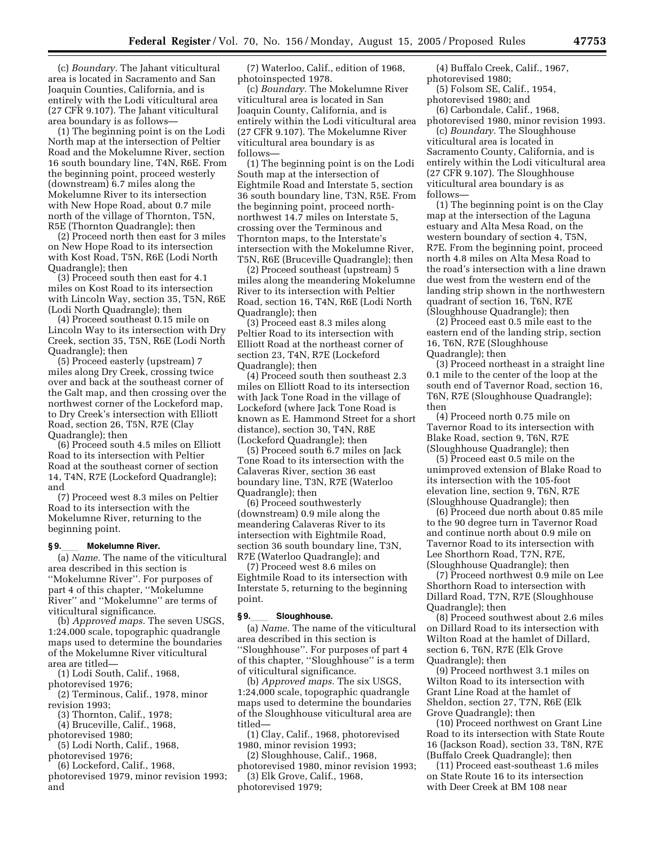(c) *Boundary.* The Jahant viticultural area is located in Sacramento and San Joaquin Counties, California, and is entirely with the Lodi viticultural area (27 CFR 9.107). The Jahant viticultural area boundary is as follows—

(1) The beginning point is on the Lodi North map at the intersection of Peltier Road and the Mokelumne River, section 16 south boundary line, T4N, R6E. From the beginning point, proceed westerly (downstream) 6.7 miles along the Mokelumne River to its intersection with New Hope Road, about 0.7 mile north of the village of Thornton, T5N, R5E (Thornton Quadrangle); then

(2) Proceed north then east for 3 miles on New Hope Road to its intersection with Kost Road, T5N, R6E (Lodi North Quadrangle); then

(3) Proceed south then east for 4.1 miles on Kost Road to its intersection with Lincoln Way, section 35, T5N, R6E (Lodi North Quadrangle); then

(4) Proceed southeast 0.15 mile on Lincoln Way to its intersection with Dry Creek, section 35, T5N, R6E (Lodi North Quadrangle); then

(5) Proceed easterly (upstream) 7 miles along Dry Creek, crossing twice over and back at the southeast corner of the Galt map, and then crossing over the northwest corner of the Lockeford map, to Dry Creek's intersection with Elliott Road, section 26, T5N, R7E (Clay Quadrangle); then

(6) Proceed south 4.5 miles on Elliott Road to its intersection with Peltier Road at the southeast corner of section 14, T4N, R7E (Lockeford Quadrangle); and

(7) Proceed west 8.3 miles on Peltier Road to its intersection with the Mokelumne River, returning to the beginning point.

## §9.\_\_\_\_ Mokelumne River.

(a) *Name.* The name of the viticultural area described in this section is ''Mokelumne River''. For purposes of part 4 of this chapter, ''Mokelumne River'' and ''Mokelumne'' are terms of viticultural significance.

(b) *Approved maps.* The seven USGS, 1:24,000 scale, topographic quadrangle maps used to determine the boundaries of the Mokelumne River viticultural area are titled—

(1) Lodi South, Calif., 1968,

photorevised 1976;

(2) Terminous, Calif., 1978, minor revision 1993;

(3) Thornton, Calif., 1978;

(4) Bruceville, Calif., 1968,

photorevised 1980;

(5) Lodi North, Calif., 1968, photorevised 1976;

(6) Lockeford, Calif., 1968,

photorevised 1979, minor revision 1993; and

(7) Waterloo, Calif., edition of 1968, photoinspected 1978.

(c) *Boundary.* The Mokelumne River viticultural area is located in San Joaquin County, California, and is entirely within the Lodi viticultural area (27 CFR 9.107). The Mokelumne River viticultural area boundary is as follows—

(1) The beginning point is on the Lodi South map at the intersection of Eightmile Road and Interstate 5, section 36 south boundary line, T3N, R5E. From the beginning point, proceed northnorthwest 14.7 miles on Interstate 5, crossing over the Terminous and Thornton maps, to the Interstate's intersection with the Mokelumne River, T5N, R6E (Bruceville Quadrangle); then

(2) Proceed southeast (upstream) 5 miles along the meandering Mokelumne River to its intersection with Peltier Road, section 16, T4N, R6E (Lodi North Quadrangle); then

(3) Proceed east 8.3 miles along Peltier Road to its intersection with Elliott Road at the northeast corner of section 23, T4N, R7E (Lockeford Quadrangle); then

(4) Proceed south then southeast 2.3 miles on Elliott Road to its intersection with Jack Tone Road in the village of Lockeford (where Jack Tone Road is known as E. Hammond Street for a short distance), section 30, T4N, R8E (Lockeford Quadrangle); then

(5) Proceed south 6.7 miles on Jack Tone Road to its intersection with the Calaveras River, section 36 east boundary line, T3N, R7E (Waterloo Quadrangle); then

(6) Proceed southwesterly (downstream) 0.9 mile along the meandering Calaveras River to its intersection with Eightmile Road, section 36 south boundary line, T3N, R7E (Waterloo Quadrangle); and

(7) Proceed west 8.6 miles on Eightmile Road to its intersection with Interstate 5, returning to the beginning point.

**§ 9.**ll **Sloughhouse.**  (a) *Name.* The name of the viticultural area described in this section is ''Sloughhouse''. For purposes of part 4 of this chapter, ''Sloughhouse'' is a term of viticultural significance.

(b) *Approved maps.* The six USGS, 1:24,000 scale, topographic quadrangle maps used to determine the boundaries of the Sloughhouse viticultural area are titled—

(1) Clay, Calif., 1968, photorevised 1980, minor revision 1993;

(2) Sloughhouse, Calif., 1968,

photorevised 1980, minor revision 1993; (3) Elk Grove, Calif., 1968,

photorevised 1979;

(4) Buffalo Creek, Calif., 1967, photorevised 1980;

(5) Folsom SE, Calif., 1954, photorevised 1980; and

(6) Carbondale, Calif., 1968,

photorevised 1980, minor revision 1993. (c) *Boundary.* The Sloughhouse viticultural area is located in Sacramento County, California, and is entirely within the Lodi viticultural area (27 CFR 9.107). The Sloughhouse viticultural area boundary is as follows—

(1) The beginning point is on the Clay map at the intersection of the Laguna estuary and Alta Mesa Road, on the western boundary of section 4, T5N, R7E. From the beginning point, proceed north 4.8 miles on Alta Mesa Road to the road's intersection with a line drawn due west from the western end of the landing strip shown in the northwestern quadrant of section 16, T6N, R7E (Sloughhouse Quadrangle); then

(2) Proceed east 0.5 mile east to the eastern end of the landing strip, section 16, T6N, R7E (Sloughhouse Quadrangle); then

(3) Proceed northeast in a straight line 0.1 mile to the center of the loop at the south end of Tavernor Road, section 16, T6N, R7E (Sloughhouse Quadrangle); then

(4) Proceed north 0.75 mile on Tavernor Road to its intersection with Blake Road, section 9, T6N, R7E (Sloughhouse Quadrangle); then

(5) Proceed east 0.5 mile on the unimproved extension of Blake Road to its intersection with the 105-foot elevation line, section 9, T6N, R7E (Sloughhouse Quadrangle); then

(6) Proceed due north about 0.85 mile to the 90 degree turn in Tavernor Road and continue north about 0.9 mile on Tavernor Road to its intersection with Lee Shorthorn Road, T7N, R7E, (Sloughhouse Quadrangle); then

(7) Proceed northwest 0.9 mile on Lee Shorthorn Road to intersection with Dillard Road, T7N, R7E (Sloughhouse Quadrangle); then

(8) Proceed southwest about 2.6 miles on Dillard Road to its intersection with Wilton Road at the hamlet of Dillard, section 6, T6N, R7E (Elk Grove Quadrangle); then

(9) Proceed northwest 3.1 miles on Wilton Road to its intersection with Grant Line Road at the hamlet of Sheldon, section 27, T7N, R6E (Elk Grove Quadrangle); then

(10) Proceed northwest on Grant Line Road to its intersection with State Route 16 (Jackson Road), section 33, T8N, R7E (Buffalo Creek Quadrangle); then

(11) Proceed east-southeast 1.6 miles on State Route 16 to its intersection with Deer Creek at BM 108 near